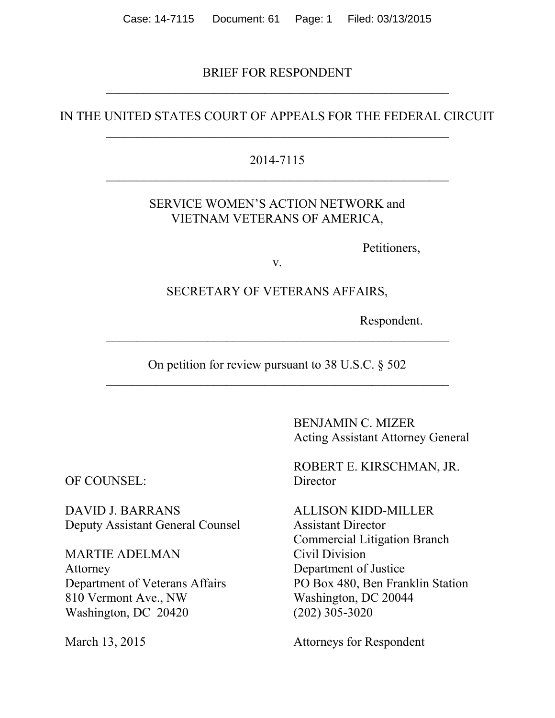BRIEF FOR RESPONDENT  $\overline{\mathcal{L}}$  , and the contribution of the contribution of the contribution of the contribution of the contribution of the contribution of the contribution of the contribution of the contribution of the contribution of the

## IN THE UNITED STATES COURT OF APPEALS FOR THE FEDERAL CIRCUIT  $\overline{\mathcal{L}}$  , and the contribution of the contribution of the contribution of the contribution of the contribution of the contribution of the contribution of the contribution of the contribution of the contribution of the

#### 2014-7115  $\overline{\mathcal{L}}$  , and the contribution of the contribution of the contribution of the contribution of the contribution of the contribution of the contribution of the contribution of the contribution of the contribution of the

## SERVICE WOMEN'S ACTION NETWORK and VIETNAM VETERANS OF AMERICA,

Petitioners,

v.

#### SECRETARY OF VETERANS AFFAIRS,

Respondent.

On petition for review pursuant to 38 U.S.C. § 502

 $\mathcal{L}_\text{max}$  and the contract of the contract of the contract of the contract of the contract of the contract of

BENJAMIN C. MIZER Acting Assistant Attorney General

ROBERT E. KIRSCHMAN, JR.

Commercial Litigation Branch Department of Veterans Affairs PO Box 480, Ben Franklin Station

March 13, 2015 Attorneys for Respondent

OF COUNSEL: Director

DAVID J. BARRANS ALLISON KIDD-MILLER Deputy Assistant General Counsel Assistant Director

MARTIE ADELMAN Civil Division Attorney Department of Justice 810 Vermont Ave., NW Washington, DC 20044 Washington, DC 20420 (202) 305-3020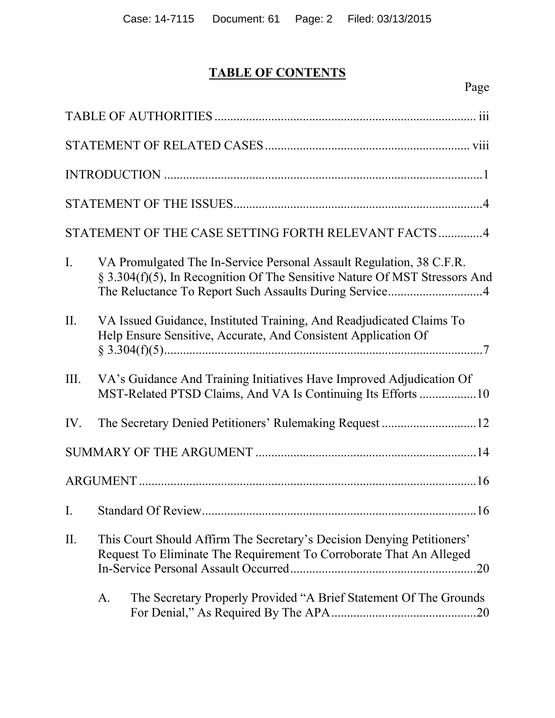# **TABLE OF CONTENTS**

|                |                                                                                                                                               | STATEMENT OF THE CASE SETTING FORTH RELEVANT FACTS 4                                                                                                                                                         |
|----------------|-----------------------------------------------------------------------------------------------------------------------------------------------|--------------------------------------------------------------------------------------------------------------------------------------------------------------------------------------------------------------|
| $\mathbf{I}$ . |                                                                                                                                               | VA Promulgated The In-Service Personal Assault Regulation, 38 C.F.R.<br>§ 3.304(f)(5), In Recognition Of The Sensitive Nature Of MST Stressors And<br>The Reluctance To Report Such Assaults During Service4 |
| II.            |                                                                                                                                               | VA Issued Guidance, Instituted Training, And Readjudicated Claims To<br>Help Ensure Sensitive, Accurate, And Consistent Application Of                                                                       |
| III.           |                                                                                                                                               | VA's Guidance And Training Initiatives Have Improved Adjudication Of<br>MST-Related PTSD Claims, And VA Is Continuing Its Efforts 10                                                                         |
| IV.            |                                                                                                                                               |                                                                                                                                                                                                              |
|                |                                                                                                                                               |                                                                                                                                                                                                              |
|                |                                                                                                                                               |                                                                                                                                                                                                              |
|                |                                                                                                                                               | I. Standard Of Review.<br>.16                                                                                                                                                                                |
| II.            | This Court Should Affirm The Secretary's Decision Denying Petitioners'<br>Request To Eliminate The Requirement To Corroborate That An Alleged |                                                                                                                                                                                                              |
|                | A.                                                                                                                                            | The Secretary Properly Provided "A Brief Statement Of The Grounds                                                                                                                                            |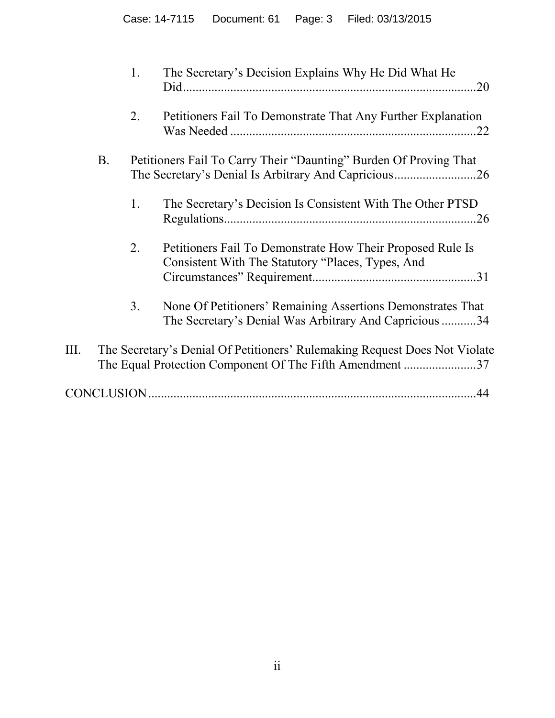|      |           | 1. | The Secretary's Decision Explains Why He Did What He<br>.20                                                                            |
|------|-----------|----|----------------------------------------------------------------------------------------------------------------------------------------|
|      |           | 2. | Petitioners Fail To Demonstrate That Any Further Explanation                                                                           |
|      | <b>B.</b> |    | Petitioners Fail To Carry Their "Daunting" Burden Of Proving That                                                                      |
|      |           | 1. | The Secretary's Decision Is Consistent With The Other PTSD                                                                             |
|      |           | 2. | Petitioners Fail To Demonstrate How Their Proposed Rule Is<br>Consistent With The Statutory "Places, Types, And                        |
|      |           | 3. | None Of Petitioners' Remaining Assertions Demonstrates That<br>The Secretary's Denial Was Arbitrary And Capricious 34                  |
| III. |           |    | The Secretary's Denial Of Petitioners' Rulemaking Request Does Not Violate<br>The Equal Protection Component Of The Fifth Amendment 37 |
|      |           |    |                                                                                                                                        |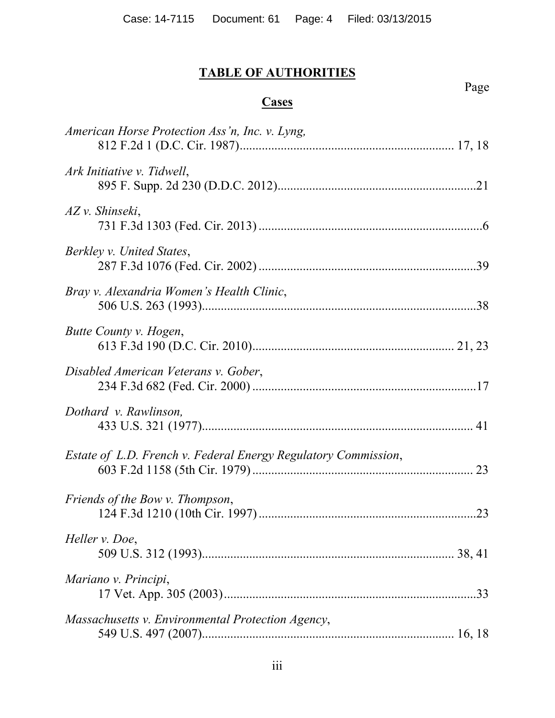# **TABLE OF AUTHORITIES**

# **Cases**

Page

| American Horse Protection Ass'n, Inc. v. Lyng,                 |
|----------------------------------------------------------------|
| Ark Initiative v. Tidwell,                                     |
| AZ v. Shinseki,                                                |
| Berkley v. United States,                                      |
| Bray v. Alexandria Women's Health Clinic,                      |
| Butte County v. Hogen,                                         |
| Disabled American Veterans v. Gober,                           |
| Dothard v. Rawlinson,                                          |
| Estate of L.D. French v. Federal Energy Regulatory Commission, |
| Friends of the Bow v. Thompson,                                |
| Heller v. Doe,                                                 |
| Mariano v. Principi,                                           |
| Massachusetts v. Environmental Protection Agency,              |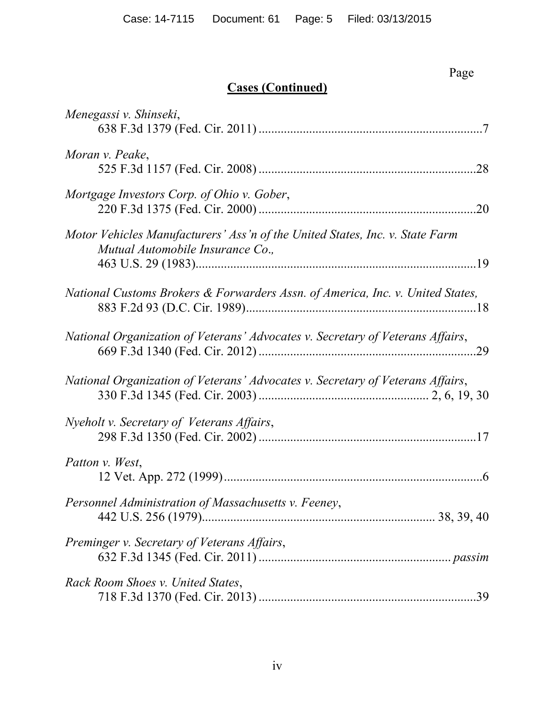#### **Page**

# **Cases (Continued)**

| Menegassi v. Shinseki,                                                                                           |
|------------------------------------------------------------------------------------------------------------------|
| Moran v. Peake,                                                                                                  |
| Mortgage Investors Corp. of Ohio v. Gober,                                                                       |
| Motor Vehicles Manufacturers' Ass'n of the United States, Inc. v. State Farm<br>Mutual Automobile Insurance Co., |
| National Customs Brokers & Forwarders Assn. of America, Inc. v. United States,                                   |
| National Organization of Veterans' Advocates v. Secretary of Veterans Affairs,                                   |
| National Organization of Veterans' Advocates v. Secretary of Veterans Affairs,                                   |
| Nyeholt v. Secretary of Veterans Affairs,                                                                        |
| Patton v. West,                                                                                                  |
| Personnel Administration of Massachusetts v. Feeney,                                                             |
| Preminger v. Secretary of Veterans Affairs,                                                                      |
| Rack Room Shoes v. United States,                                                                                |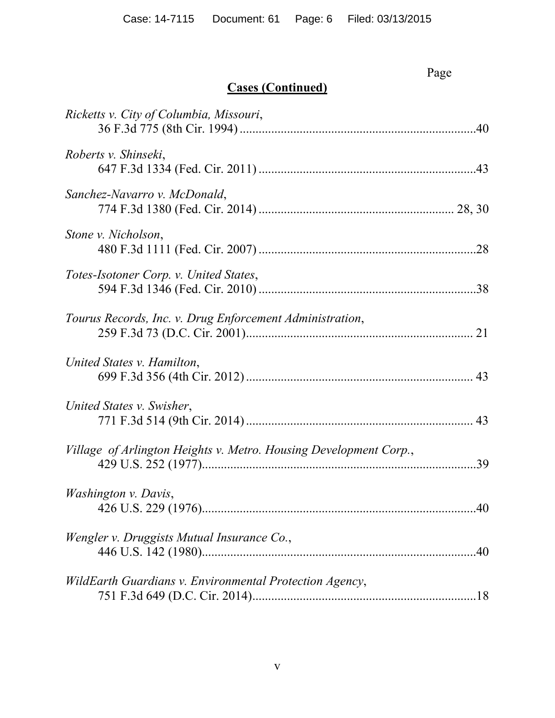|                                                                   | Page |
|-------------------------------------------------------------------|------|
| <b>Cases (Continued)</b>                                          |      |
| Ricketts v. City of Columbia, Missouri,                           |      |
| Roberts v. Shinseki,                                              |      |
| Sanchez-Navarro v. McDonald,                                      |      |
| Stone v. Nicholson,                                               |      |
| Totes-Isotoner Corp. v. United States,                            |      |
| Tourus Records, Inc. v. Drug Enforcement Administration,          |      |
| United States v. Hamilton,                                        |      |
| United States v. Swisher,                                         |      |
| Village of Arlington Heights v. Metro. Housing Development Corp., | .39  |
| <i>Washington v. Davis,</i>                                       |      |
| Wengler v. Druggists Mutual Insurance Co.,                        | .40  |
| WildEarth Guardians v. Environmental Protection Agency,           |      |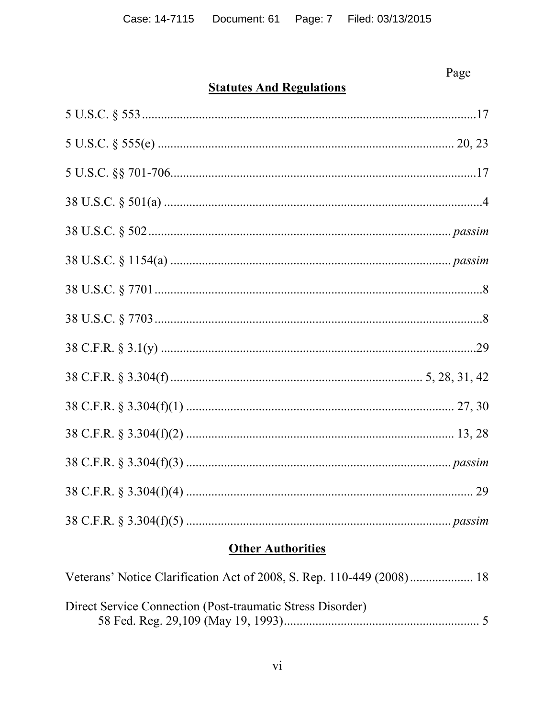# Page

# **Statutes And Regulations**

# **Other Authorities**

| Direct Service Connection (Post-traumatic Stress Disorder) |  |
|------------------------------------------------------------|--|
|                                                            |  |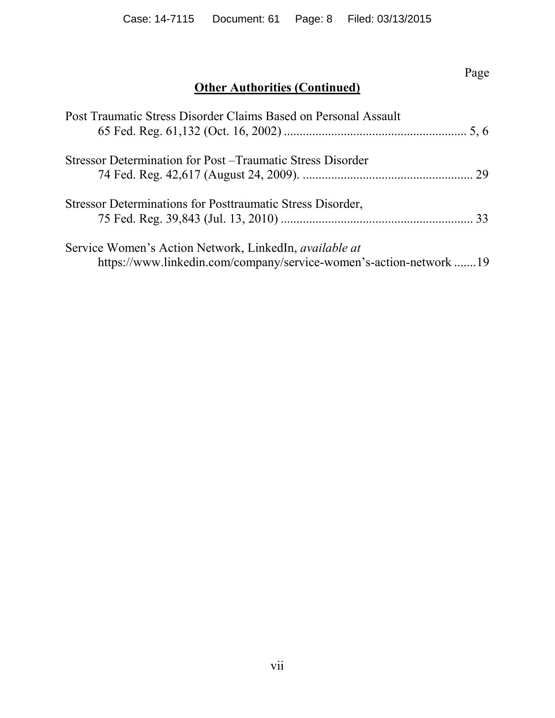# Page

# **Other Authorities (Continued)**

| Post Traumatic Stress Disorder Claims Based on Personal Assault    |  |
|--------------------------------------------------------------------|--|
| Stressor Determination for Post – Traumatic Stress Disorder        |  |
|                                                                    |  |
| Stressor Determinations for Posttraumatic Stress Disorder,         |  |
|                                                                    |  |
| Service Women's Action Network, LinkedIn, <i>available at</i>      |  |
| https://www.linkedin.com/company/service-women's-action-network 19 |  |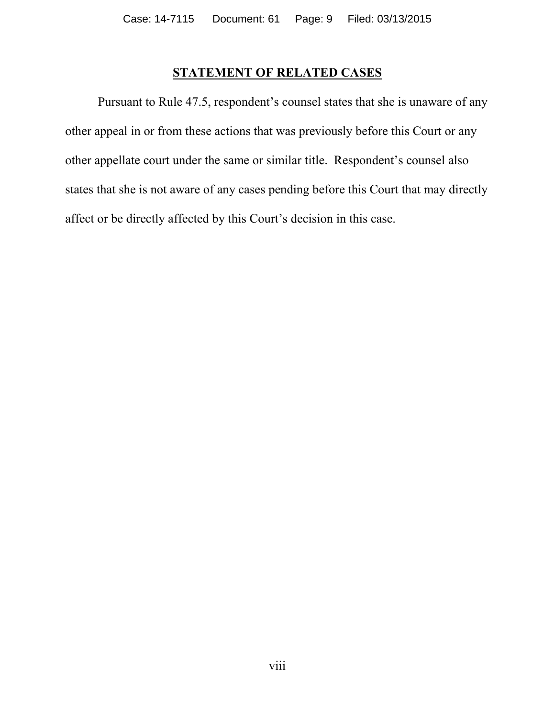## **STATEMENT OF RELATED CASES**

Pursuant to Rule 47.5, respondent's counsel states that she is unaware of any other appeal in or from these actions that was previously before this Court or any other appellate court under the same or similar title. Respondent's counsel also states that she is not aware of any cases pending before this Court that may directly affect or be directly affected by this Court's decision in this case.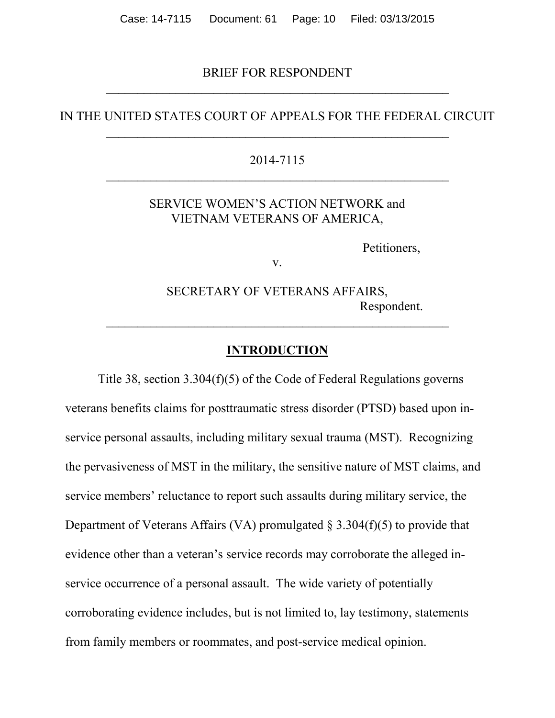#### BRIEF FOR RESPONDENT  $\overline{\mathcal{L}}$  , and the contribution of the contribution of the contribution of the contribution of the contribution of the contribution of the contribution of the contribution of the contribution of the contribution of the

#### IN THE UNITED STATES COURT OF APPEALS FOR THE FEDERAL CIRCUIT  $\overline{\mathcal{L}}$  , and the contribution of the contribution of the contribution of the contribution of the contribution of the contribution of the contribution of the contribution of the contribution of the contribution of the

#### 2014-7115  $\overline{\mathcal{L}}$  , and the contribution of the contribution of the contribution of the contribution of the contribution of the contribution of the contribution of the contribution of the contribution of the contribution of the

#### SERVICE WOMEN'S ACTION NETWORK and VIETNAM VETERANS OF AMERICA,

Petitioners,

v.

SECRETARY OF VETERANS AFFAIRS, Respondent.

#### **INTRODUCTION**

 $\mathcal{L}_\text{max}$  , and the contract of the contract of the contract of the contract of the contract of the contract of the contract of the contract of the contract of the contract of the contract of the contract of the contr

Title 38, section 3.304(f)(5) of the Code of Federal Regulations governs veterans benefits claims for posttraumatic stress disorder (PTSD) based upon inservice personal assaults, including military sexual trauma (MST). Recognizing the pervasiveness of MST in the military, the sensitive nature of MST claims, and service members' reluctance to report such assaults during military service, the Department of Veterans Affairs (VA) promulgated  $\S 3.304(f)(5)$  to provide that evidence other than a veteran's service records may corroborate the alleged inservice occurrence of a personal assault. The wide variety of potentially corroborating evidence includes, but is not limited to, lay testimony, statements from family members or roommates, and post-service medical opinion.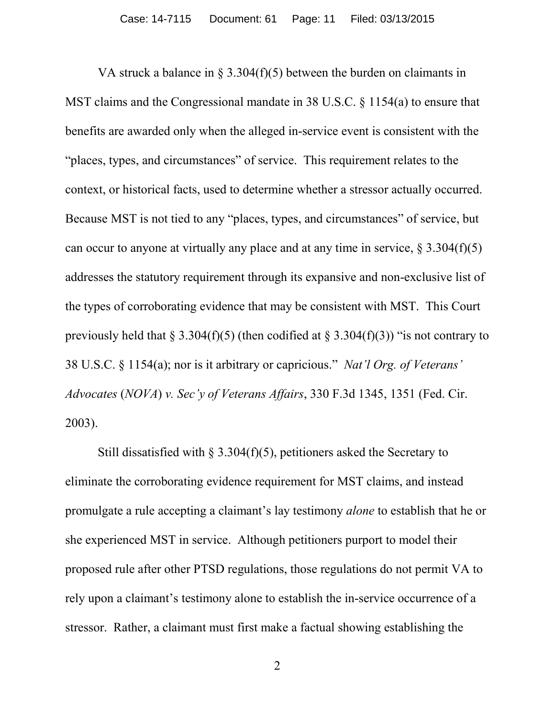VA struck a balance in § 3.304(f)(5) between the burden on claimants in MST claims and the Congressional mandate in 38 U.S.C. § 1154(a) to ensure that benefits are awarded only when the alleged in-service event is consistent with the "places, types, and circumstances" of service. This requirement relates to the context, or historical facts, used to determine whether a stressor actually occurred. Because MST is not tied to any "places, types, and circumstances" of service, but can occur to anyone at virtually any place and at any time in service,  $\S 3.304(f)(5)$ addresses the statutory requirement through its expansive and non-exclusive list of the types of corroborating evidence that may be consistent with MST. This Court previously held that  $\S 3.304(f)(5)$  (then codified at  $\S 3.304(f)(3)$ ) "is not contrary to 38 U.S.C. § 1154(a); nor is it arbitrary or capricious." *Nat'l Org. of Veterans' Advocates* (*NOVA*) *v. Sec'y of Veterans Affairs*, 330 F.3d 1345, 1351 (Fed. Cir. 2003).

Still dissatisfied with  $\S 3.304(f)(5)$ , petitioners asked the Secretary to eliminate the corroborating evidence requirement for MST claims, and instead promulgate a rule accepting a claimant's lay testimony *alone* to establish that he or she experienced MST in service. Although petitioners purport to model their proposed rule after other PTSD regulations, those regulations do not permit VA to rely upon a claimant's testimony alone to establish the in-service occurrence of a stressor. Rather, a claimant must first make a factual showing establishing the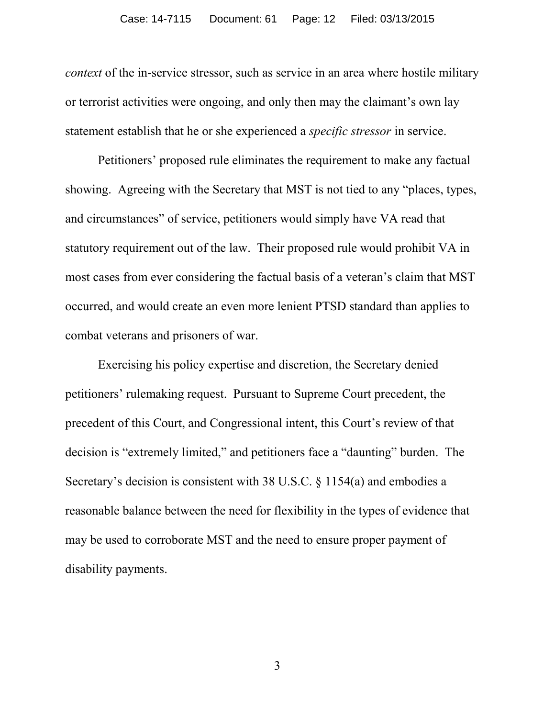*context* of the in-service stressor, such as service in an area where hostile military or terrorist activities were ongoing, and only then may the claimant's own lay statement establish that he or she experienced a *specific stressor* in service.

Petitioners' proposed rule eliminates the requirement to make any factual showing. Agreeing with the Secretary that MST is not tied to any "places, types, and circumstances" of service, petitioners would simply have VA read that statutory requirement out of the law. Their proposed rule would prohibit VA in most cases from ever considering the factual basis of a veteran's claim that MST occurred, and would create an even more lenient PTSD standard than applies to combat veterans and prisoners of war.

Exercising his policy expertise and discretion, the Secretary denied petitioners' rulemaking request. Pursuant to Supreme Court precedent, the precedent of this Court, and Congressional intent, this Court's review of that decision is "extremely limited," and petitioners face a "daunting" burden. The Secretary's decision is consistent with 38 U.S.C. § 1154(a) and embodies a reasonable balance between the need for flexibility in the types of evidence that may be used to corroborate MST and the need to ensure proper payment of disability payments.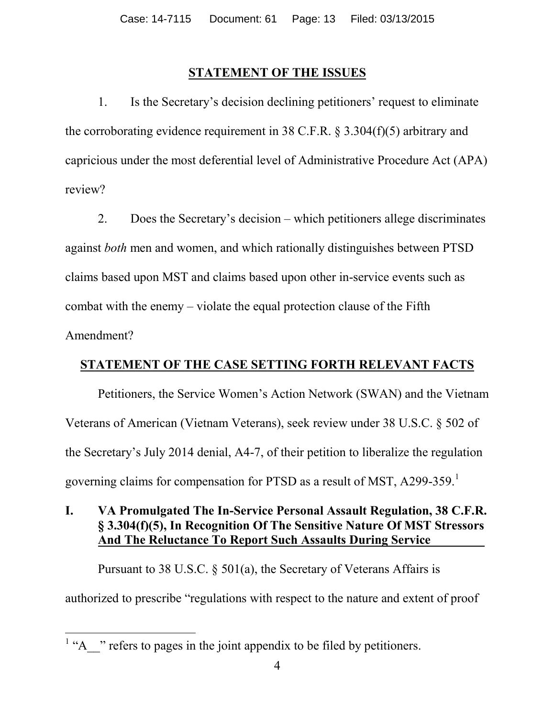## **STATEMENT OF THE ISSUES**

1. Is the Secretary's decision declining petitioners' request to eliminate the corroborating evidence requirement in 38 C.F.R. § 3.304(f)(5) arbitrary and capricious under the most deferential level of Administrative Procedure Act (APA) review?

2. Does the Secretary's decision – which petitioners allege discriminates against *both* men and women, and which rationally distinguishes between PTSD claims based upon MST and claims based upon other in-service events such as combat with the enemy – violate the equal protection clause of the Fifth Amendment?

# **STATEMENT OF THE CASE SETTING FORTH RELEVANT FACTS**

Petitioners, the Service Women's Action Network (SWAN) and the Vietnam Veterans of American (Vietnam Veterans), seek review under 38 U.S.C. § 502 of the Secretary's July 2014 denial, A4-7, of their petition to liberalize the regulation governing claims for compensation for PTSD as a result of MST,  $A299-359$ .<sup>[1](#page-12-0)</sup>

## **I. VA Promulgated The In-Service Personal Assault Regulation, 38 C.F.R. § 3.304(f)(5), In Recognition Of The Sensitive Nature Of MST Stressors And The Reluctance To Report Such Assaults During Service .**

Pursuant to 38 U.S.C. § 501(a), the Secretary of Veterans Affairs is authorized to prescribe "regulations with respect to the nature and extent of proof

<span id="page-12-0"></span> $1 \text{``A}$  " refers to pages in the joint appendix to be filed by petitioners.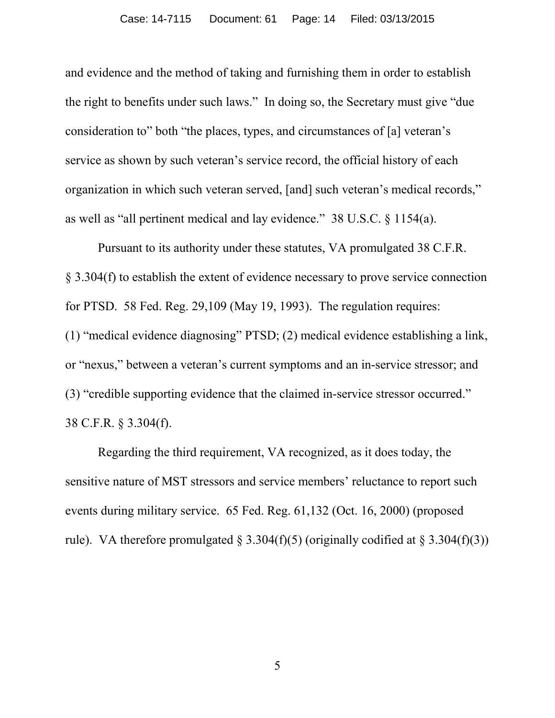and evidence and the method of taking and furnishing them in order to establish the right to benefits under such laws." In doing so, the Secretary must give "due consideration to" both "the places, types, and circumstances of [a] veteran's service as shown by such veteran's service record, the official history of each organization in which such veteran served, [and] such veteran's medical records," as well as "all pertinent medical and lay evidence." 38 U.S.C. § 1154(a).

Pursuant to its authority under these statutes, VA promulgated 38 C.F.R. § 3.304(f) to establish the extent of evidence necessary to prove service connection for PTSD. 58 Fed. Reg. 29,109 (May 19, 1993). The regulation requires: (1) "medical evidence diagnosing" PTSD; (2) medical evidence establishing a link, or "nexus," between a veteran's current symptoms and an in-service stressor; and (3) "credible supporting evidence that the claimed in-service stressor occurred." 38 C.F.R. § 3.304(f).

Regarding the third requirement, VA recognized, as it does today, the sensitive nature of MST stressors and service members' reluctance to report such events during military service. 65 Fed. Reg. 61,132 (Oct. 16, 2000) (proposed rule). VA therefore promulgated  $\S 3.304(f)(5)$  (originally codified at  $\S 3.304(f)(3)$ )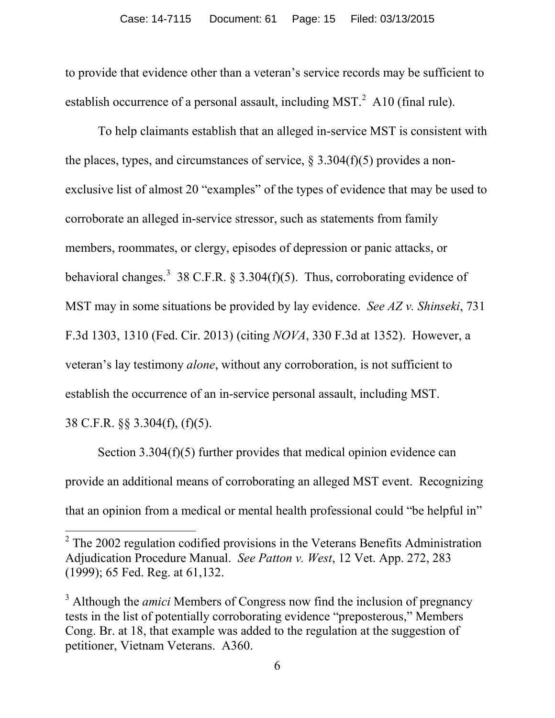to provide that evidence other than a veteran's service records may be sufficient to establish occurrence of a personal assault, including MST. $^{2}$  $^{2}$  $^{2}$  A10 (final rule).

To help claimants establish that an alleged in-service MST is consistent with the places, types, and circumstances of service,  $\S 3.304(f)(5)$  provides a nonexclusive list of almost 20 "examples" of the types of evidence that may be used to corroborate an alleged in-service stressor, such as statements from family members, roommates, or clergy, episodes of depression or panic attacks, or behavioral changes.<sup>[3](#page-14-1)</sup> 38 C.F.R. § 3.304(f)(5). Thus, corroborating evidence of MST may in some situations be provided by lay evidence. *See AZ v. Shinseki*, 731 F.3d 1303, 1310 (Fed. Cir. 2013) (citing *NOVA*, 330 F.3d at 1352). However, a veteran's lay testimony *alone*, without any corroboration, is not sufficient to establish the occurrence of an in-service personal assault, including MST. 38 C.F.R. §§ 3.304(f), (f)(5).

Section 3.304(f)(5) further provides that medical opinion evidence can provide an additional means of corroborating an alleged MST event. Recognizing that an opinion from a medical or mental health professional could "be helpful in"

<span id="page-14-0"></span> $2$  The 2002 regulation codified provisions in the Veterans Benefits Administration Adjudication Procedure Manual. *See Patton v. West*, 12 Vet. App. 272, 283 (1999); 65 Fed. Reg. at 61,132.

<span id="page-14-1"></span><sup>&</sup>lt;sup>3</sup> Although the *amici* Members of Congress now find the inclusion of pregnancy tests in the list of potentially corroborating evidence "preposterous," Members Cong. Br. at 18, that example was added to the regulation at the suggestion of petitioner, Vietnam Veterans. A360.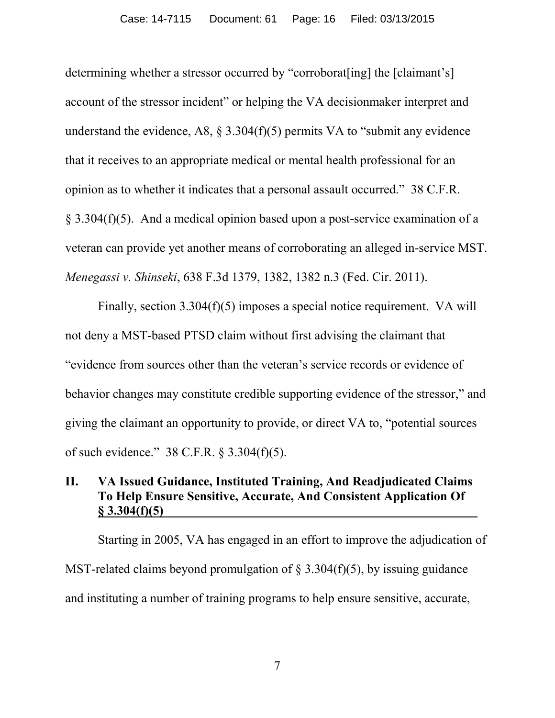determining whether a stressor occurred by "corroborat[ing] the [claimant's] account of the stressor incident" or helping the VA decisionmaker interpret and understand the evidence, A8,  $\S 3.304(f)(5)$  permits VA to "submit any evidence" that it receives to an appropriate medical or mental health professional for an opinion as to whether it indicates that a personal assault occurred." 38 C.F.R. § 3.304(f)(5). And a medical opinion based upon a post-service examination of a veteran can provide yet another means of corroborating an alleged in-service MST. *Menegassi v. Shinseki*, 638 F.3d 1379, 1382, 1382 n.3 (Fed. Cir. 2011).

Finally, section 3.304(f)(5) imposes a special notice requirement. VA will not deny a MST-based PTSD claim without first advising the claimant that "evidence from sources other than the veteran's service records or evidence of behavior changes may constitute credible supporting evidence of the stressor," and giving the claimant an opportunity to provide, or direct VA to, "potential sources of such evidence." 38 C.F.R. § 3.304(f)(5).

## **II. VA Issued Guidance, Instituted Training, And Readjudicated Claims To Help Ensure Sensitive, Accurate, And Consistent Application Of § 3.304(f)(5) .**

Starting in 2005, VA has engaged in an effort to improve the adjudication of MST-related claims beyond promulgation of  $\S$  3.304(f)(5), by issuing guidance and instituting a number of training programs to help ensure sensitive, accurate,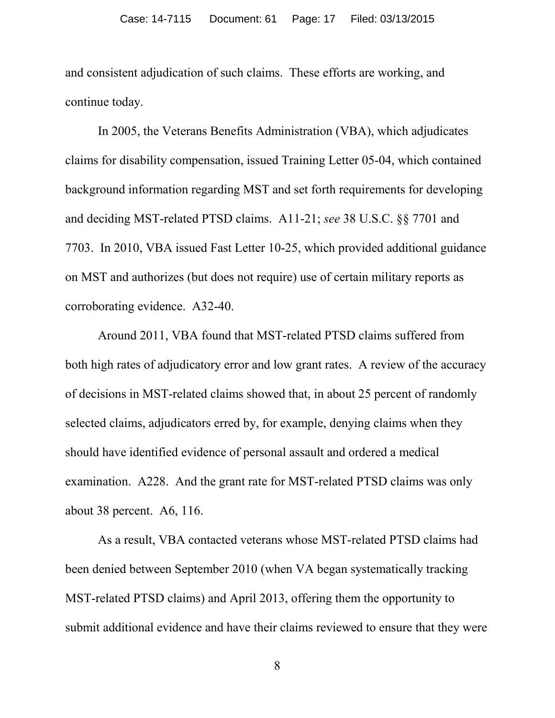and consistent adjudication of such claims. These efforts are working, and continue today.

In 2005, the Veterans Benefits Administration (VBA), which adjudicates claims for disability compensation, issued Training Letter 05-04, which contained background information regarding MST and set forth requirements for developing and deciding MST-related PTSD claims. A11-21; *see* 38 U.S.C. §§ 7701 and 7703. In 2010, VBA issued Fast Letter 10-25, which provided additional guidance on MST and authorizes (but does not require) use of certain military reports as corroborating evidence. A32-40.

Around 2011, VBA found that MST-related PTSD claims suffered from both high rates of adjudicatory error and low grant rates. A review of the accuracy of decisions in MST-related claims showed that, in about 25 percent of randomly selected claims, adjudicators erred by, for example, denying claims when they should have identified evidence of personal assault and ordered a medical examination. A228. And the grant rate for MST-related PTSD claims was only about 38 percent. A6, 116.

As a result, VBA contacted veterans whose MST-related PTSD claims had been denied between September 2010 (when VA began systematically tracking MST-related PTSD claims) and April 2013, offering them the opportunity to submit additional evidence and have their claims reviewed to ensure that they were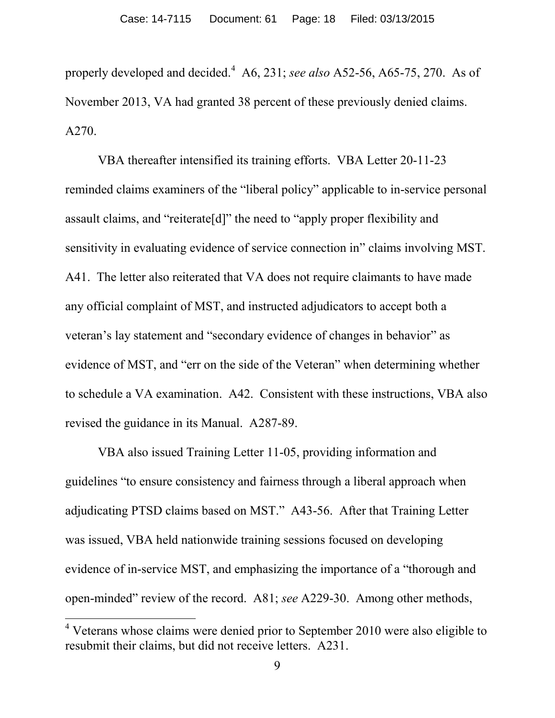properly developed and decided.[4](#page-17-0) A6, 231; *see also* A52-56, A65-75, 270. As of November 2013, VA had granted 38 percent of these previously denied claims. A270.

VBA thereafter intensified its training efforts. VBA Letter 20-11-23 reminded claims examiners of the "liberal policy" applicable to in-service personal assault claims, and "reiterate[d]" the need to "apply proper flexibility and sensitivity in evaluating evidence of service connection in" claims involving MST. A41. The letter also reiterated that VA does not require claimants to have made any official complaint of MST, and instructed adjudicators to accept both a veteran's lay statement and "secondary evidence of changes in behavior" as evidence of MST, and "err on the side of the Veteran" when determining whether to schedule a VA examination. A42. Consistent with these instructions, VBA also revised the guidance in its Manual. A287-89.

VBA also issued Training Letter 11-05, providing information and guidelines "to ensure consistency and fairness through a liberal approach when adjudicating PTSD claims based on MST." A43-56. After that Training Letter was issued, VBA held nationwide training sessions focused on developing evidence of in-service MST, and emphasizing the importance of a "thorough and open-minded" review of the record. A81; *see* A229-30. Among other methods,

<span id="page-17-0"></span> $4$  Veterans whose claims were denied prior to September 2010 were also eligible to resubmit their claims, but did not receive letters. A231.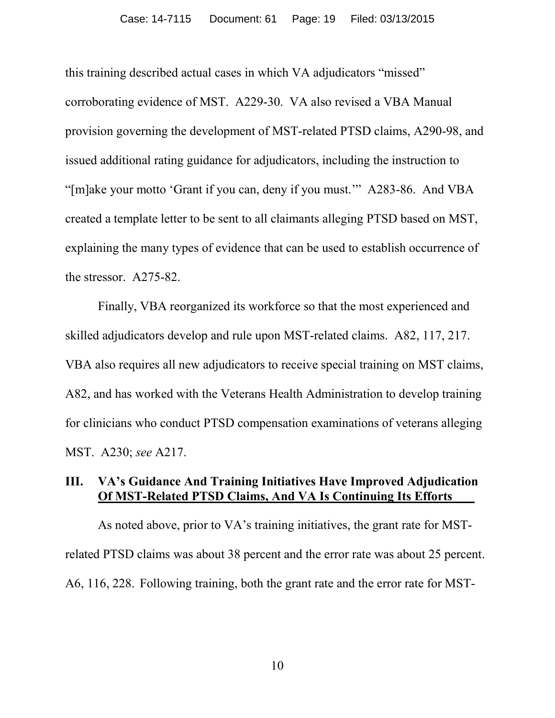this training described actual cases in which VA adjudicators "missed" corroborating evidence of MST. A229-30. VA also revised a VBA Manual provision governing the development of MST-related PTSD claims, A290-98, and issued additional rating guidance for adjudicators, including the instruction to "[m]ake your motto 'Grant if you can, deny if you must.'" A283-86. And VBA created a template letter to be sent to all claimants alleging PTSD based on MST, explaining the many types of evidence that can be used to establish occurrence of the stressor. A275-82.

Finally, VBA reorganized its workforce so that the most experienced and skilled adjudicators develop and rule upon MST-related claims. A82, 117, 217. VBA also requires all new adjudicators to receive special training on MST claims, A82, and has worked with the Veterans Health Administration to develop training for clinicians who conduct PTSD compensation examinations of veterans alleging MST. A230; *see* A217.

# **III. VA's Guidance And Training Initiatives Have Improved Adjudication Of MST-Related PTSD Claims, And VA Is Continuing Its Efforts .**

As noted above, prior to VA's training initiatives, the grant rate for MSTrelated PTSD claims was about 38 percent and the error rate was about 25 percent. A6, 116, 228. Following training, both the grant rate and the error rate for MST-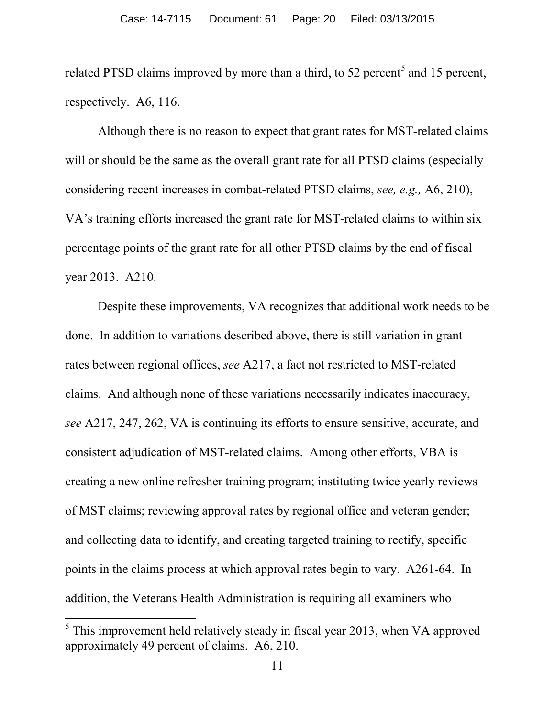related PTSD claims improved by more than a third, to [5](#page-19-0)2 percent<sup>5</sup> and 15 percent, respectively. A6, 116.

Although there is no reason to expect that grant rates for MST-related claims will or should be the same as the overall grant rate for all PTSD claims (especially considering recent increases in combat-related PTSD claims, *see, e.g.,* A6, 210), VA's training efforts increased the grant rate for MST-related claims to within six percentage points of the grant rate for all other PTSD claims by the end of fiscal year 2013. A210.

Despite these improvements, VA recognizes that additional work needs to be done. In addition to variations described above, there is still variation in grant rates between regional offices, *see* A217, a fact not restricted to MST-related claims. And although none of these variations necessarily indicates inaccuracy, *see* A217, 247, 262, VA is continuing its efforts to ensure sensitive, accurate, and consistent adjudication of MST-related claims. Among other efforts, VBA is creating a new online refresher training program; instituting twice yearly reviews of MST claims; reviewing approval rates by regional office and veteran gender; and collecting data to identify, and creating targeted training to rectify, specific points in the claims process at which approval rates begin to vary. A261-64. In addition, the Veterans Health Administration is requiring all examiners who

<span id="page-19-0"></span> $<sup>5</sup>$  This improvement held relatively steady in fiscal year 2013, when VA approved</sup> approximately 49 percent of claims. A6, 210.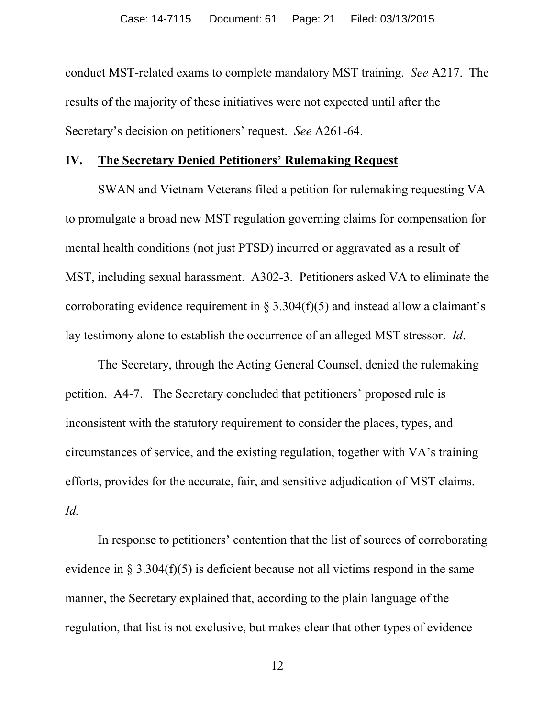conduct MST-related exams to complete mandatory MST training. *See* A217. The results of the majority of these initiatives were not expected until after the Secretary's decision on petitioners' request. *See* A261-64.

#### **IV. The Secretary Denied Petitioners' Rulemaking Request**

SWAN and Vietnam Veterans filed a petition for rulemaking requesting VA to promulgate a broad new MST regulation governing claims for compensation for mental health conditions (not just PTSD) incurred or aggravated as a result of MST, including sexual harassment. A302-3. Petitioners asked VA to eliminate the corroborating evidence requirement in  $\S 3.304(f)(5)$  and instead allow a claimant's lay testimony alone to establish the occurrence of an alleged MST stressor. *Id*.

The Secretary, through the Acting General Counsel, denied the rulemaking petition. A4-7. The Secretary concluded that petitioners' proposed rule is inconsistent with the statutory requirement to consider the places, types, and circumstances of service, and the existing regulation, together with VA's training efforts, provides for the accurate, fair, and sensitive adjudication of MST claims. *Id.*

In response to petitioners' contention that the list of sources of corroborating evidence in  $\S 3.304(f)(5)$  is deficient because not all victims respond in the same manner, the Secretary explained that, according to the plain language of the regulation, that list is not exclusive, but makes clear that other types of evidence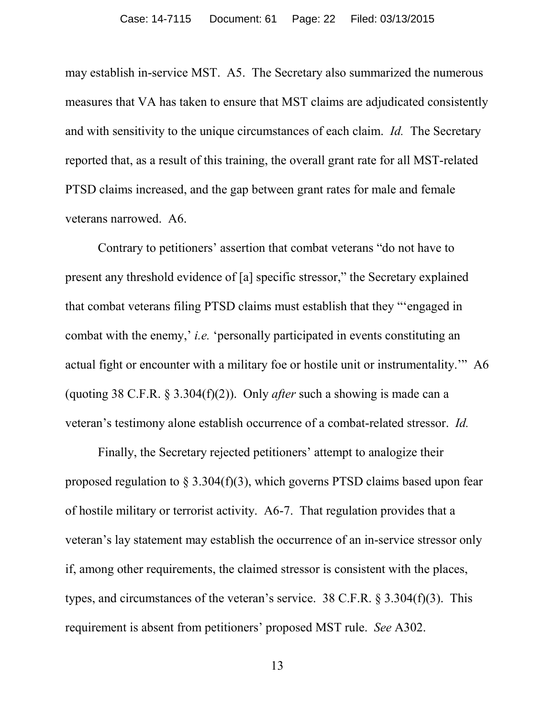may establish in-service MST. A5. The Secretary also summarized the numerous measures that VA has taken to ensure that MST claims are adjudicated consistently and with sensitivity to the unique circumstances of each claim. *Id.* The Secretary reported that, as a result of this training, the overall grant rate for all MST-related PTSD claims increased, and the gap between grant rates for male and female veterans narrowed. A6.

Contrary to petitioners' assertion that combat veterans "do not have to present any threshold evidence of [a] specific stressor," the Secretary explained that combat veterans filing PTSD claims must establish that they "'engaged in combat with the enemy,' *i.e.* 'personally participated in events constituting an actual fight or encounter with a military foe or hostile unit or instrumentality.'" A6 (quoting 38 C.F.R. § 3.304(f)(2)). Only *after* such a showing is made can a veteran's testimony alone establish occurrence of a combat-related stressor. *Id.*

Finally, the Secretary rejected petitioners' attempt to analogize their proposed regulation to  $\S 3.304(f)(3)$ , which governs PTSD claims based upon fear of hostile military or terrorist activity. A6-7. That regulation provides that a veteran's lay statement may establish the occurrence of an in-service stressor only if, among other requirements, the claimed stressor is consistent with the places, types, and circumstances of the veteran's service. 38 C.F.R. § 3.304(f)(3). This requirement is absent from petitioners' proposed MST rule. *See* A302.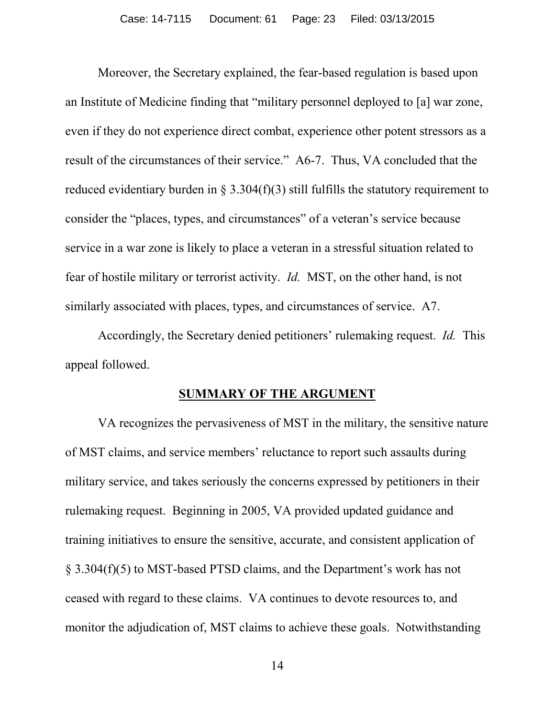Moreover, the Secretary explained, the fear-based regulation is based upon an Institute of Medicine finding that "military personnel deployed to [a] war zone, even if they do not experience direct combat, experience other potent stressors as a result of the circumstances of their service." A6-7. Thus, VA concluded that the reduced evidentiary burden in  $\S 3.304(f)(3)$  still fulfills the statutory requirement to consider the "places, types, and circumstances" of a veteran's service because service in a war zone is likely to place a veteran in a stressful situation related to fear of hostile military or terrorist activity. *Id.* MST, on the other hand, is not similarly associated with places, types, and circumstances of service. A7.

Accordingly, the Secretary denied petitioners' rulemaking request. *Id.* This appeal followed.

#### **SUMMARY OF THE ARGUMENT**

VA recognizes the pervasiveness of MST in the military, the sensitive nature of MST claims, and service members' reluctance to report such assaults during military service, and takes seriously the concerns expressed by petitioners in their rulemaking request. Beginning in 2005, VA provided updated guidance and training initiatives to ensure the sensitive, accurate, and consistent application of § 3.304(f)(5) to MST-based PTSD claims, and the Department's work has not ceased with regard to these claims. VA continues to devote resources to, and monitor the adjudication of, MST claims to achieve these goals. Notwithstanding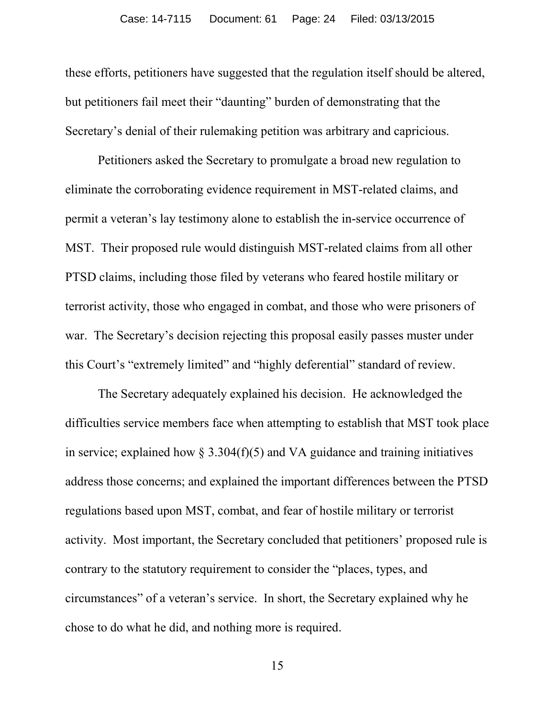these efforts, petitioners have suggested that the regulation itself should be altered, but petitioners fail meet their "daunting" burden of demonstrating that the Secretary's denial of their rulemaking petition was arbitrary and capricious.

Petitioners asked the Secretary to promulgate a broad new regulation to eliminate the corroborating evidence requirement in MST-related claims, and permit a veteran's lay testimony alone to establish the in-service occurrence of MST. Their proposed rule would distinguish MST-related claims from all other PTSD claims, including those filed by veterans who feared hostile military or terrorist activity, those who engaged in combat, and those who were prisoners of war. The Secretary's decision rejecting this proposal easily passes muster under this Court's "extremely limited" and "highly deferential" standard of review.

The Secretary adequately explained his decision. He acknowledged the difficulties service members face when attempting to establish that MST took place in service; explained how  $\S 3.304(f)(5)$  and VA guidance and training initiatives address those concerns; and explained the important differences between the PTSD regulations based upon MST, combat, and fear of hostile military or terrorist activity. Most important, the Secretary concluded that petitioners' proposed rule is contrary to the statutory requirement to consider the "places, types, and circumstances" of a veteran's service. In short, the Secretary explained why he chose to do what he did, and nothing more is required.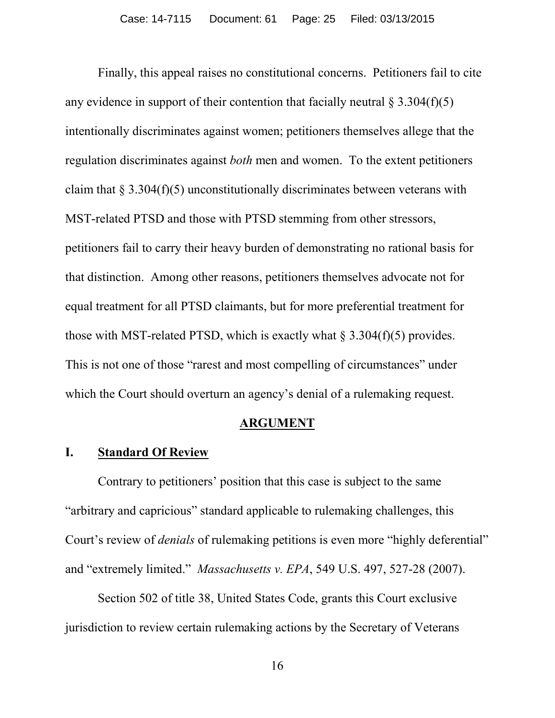Finally, this appeal raises no constitutional concerns. Petitioners fail to cite any evidence in support of their contention that facially neutral  $\S 3.304(f)(5)$ intentionally discriminates against women; petitioners themselves allege that the regulation discriminates against *both* men and women. To the extent petitioners claim that  $\S 3.304(f)(5)$  unconstitutionally discriminates between veterans with MST-related PTSD and those with PTSD stemming from other stressors, petitioners fail to carry their heavy burden of demonstrating no rational basis for that distinction. Among other reasons, petitioners themselves advocate not for equal treatment for all PTSD claimants, but for more preferential treatment for those with MST-related PTSD, which is exactly what  $\S 3.304(f)(5)$  provides. This is not one of those "rarest and most compelling of circumstances" under which the Court should overturn an agency's denial of a rulemaking request.

#### **ARGUMENT**

#### **I. Standard Of Review**

Contrary to petitioners' position that this case is subject to the same "arbitrary and capricious" standard applicable to rulemaking challenges, this Court's review of *denials* of rulemaking petitions is even more "highly deferential" and "extremely limited." *Massachusetts v. EPA*, 549 U.S. 497, 527-28 (2007).

Section 502 of title 38, United States Code, grants this Court exclusive jurisdiction to review certain rulemaking actions by the Secretary of Veterans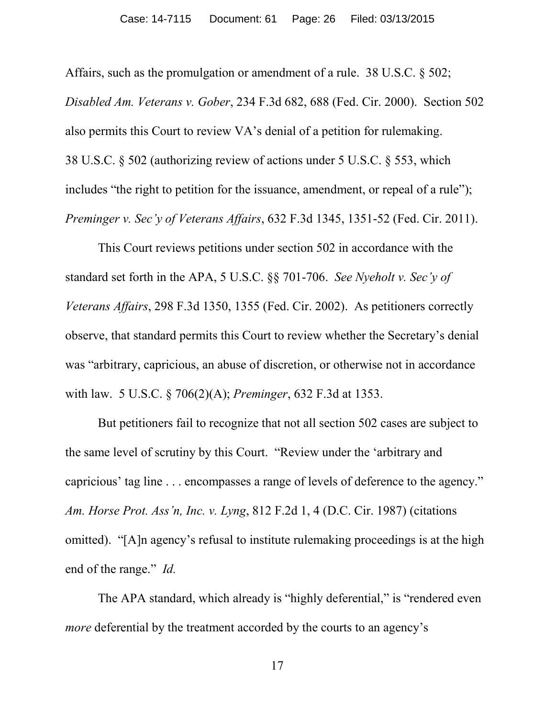Affairs, such as the promulgation or amendment of a rule. 38 U.S.C. § 502; *Disabled Am. Veterans v. Gober*, 234 F.3d 682, 688 (Fed. Cir. 2000). Section 502 also permits this Court to review VA's denial of a petition for rulemaking. 38 U.S.C. § 502 (authorizing review of actions under 5 U.S.C. § 553, which includes "the right to petition for the issuance, amendment, or repeal of a rule"); *Preminger v. Sec'y of Veterans Affairs*, 632 F.3d 1345, 1351-52 (Fed. Cir. 2011).

This Court reviews petitions under section 502 in accordance with the standard set forth in the APA, 5 U.S.C. §§ 701-706. *See Nyeholt v. Sec'y of Veterans Affairs*, 298 F.3d 1350, 1355 (Fed. Cir. 2002). As petitioners correctly observe, that standard permits this Court to review whether the Secretary's denial was "arbitrary, capricious, an abuse of discretion, or otherwise not in accordance with law. 5 U.S.C. § 706(2)(A); *Preminger*, 632 F.3d at 1353.

But petitioners fail to recognize that not all section 502 cases are subject to the same level of scrutiny by this Court. "Review under the 'arbitrary and capricious' tag line . . . encompasses a range of levels of deference to the agency." *Am. Horse Prot. Ass'n, Inc. v. Lyng*, 812 F.2d 1, 4 (D.C. Cir. 1987) (citations omitted). "[A]n agency's refusal to institute rulemaking proceedings is at the high end of the range." *Id.*

The APA standard, which already is "highly deferential," is "rendered even *more* deferential by the treatment accorded by the courts to an agency's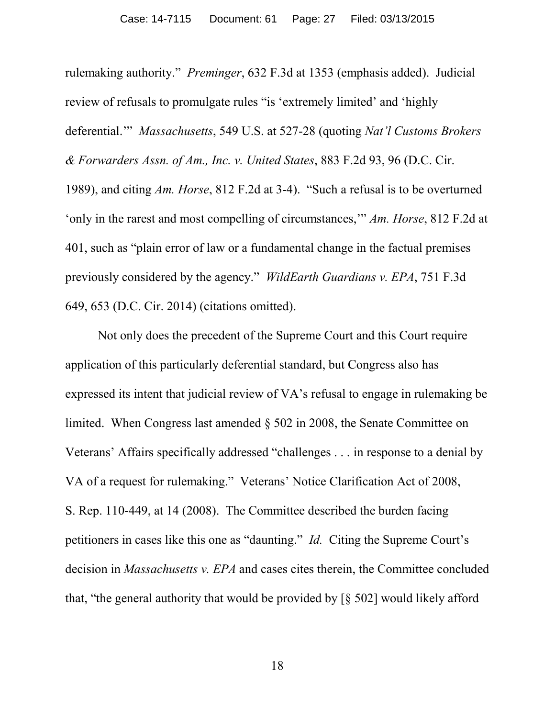rulemaking authority." *Preminger*, 632 F.3d at 1353 (emphasis added). Judicial review of refusals to promulgate rules "is 'extremely limited' and 'highly deferential.'" *Massachusetts*, 549 U.S. at 527-28 (quoting *Nat'l Customs Brokers & Forwarders Assn. of Am., Inc. v. United States*, 883 F.2d 93, 96 (D.C. Cir. 1989), and citing *Am. Horse*, 812 F.2d at 3-4). "Such a refusal is to be overturned 'only in the rarest and most compelling of circumstances,'" *Am. Horse*, 812 F.2d at 401, such as "plain error of law or a fundamental change in the factual premises previously considered by the agency." *WildEarth Guardians v. EPA*, 751 F.3d 649, 653 (D.C. Cir. 2014) (citations omitted).

Not only does the precedent of the Supreme Court and this Court require application of this particularly deferential standard, but Congress also has expressed its intent that judicial review of VA's refusal to engage in rulemaking be limited. When Congress last amended § 502 in 2008, the Senate Committee on Veterans' Affairs specifically addressed "challenges . . . in response to a denial by VA of a request for rulemaking." Veterans' Notice Clarification Act of 2008, S. Rep. 110-449, at 14 (2008). The Committee described the burden facing petitioners in cases like this one as "daunting." *Id.* Citing the Supreme Court's decision in *Massachusetts v. EPA* and cases cites therein, the Committee concluded that, "the general authority that would be provided by [§ 502] would likely afford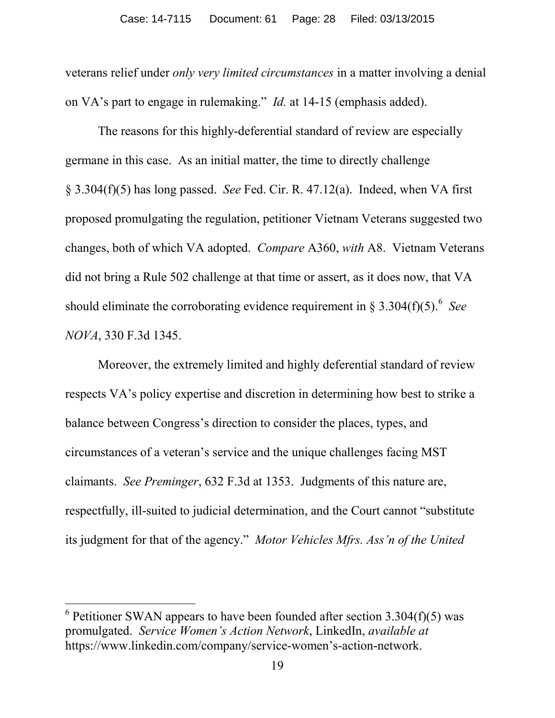veterans relief under *only very limited circumstances* in a matter involving a denial on VA's part to engage in rulemaking." *Id.* at 14-15 (emphasis added).

The reasons for this highly-deferential standard of review are especially germane in this case. As an initial matter, the time to directly challenge § 3.304(f)(5) has long passed. *See* Fed. Cir. R. 47.12(a). Indeed, when VA first proposed promulgating the regulation, petitioner Vietnam Veterans suggested two changes, both of which VA adopted. *Compare* A360, *with* A8. Vietnam Veterans did not bring a Rule 502 challenge at that time or assert, as it does now, that VA should eliminate the corroborating evidence requirement in  $\S 3.304(f)(5)$ .<sup>[6](#page-27-0)</sup> See *NOVA*, 330 F.3d 1345.

Moreover, the extremely limited and highly deferential standard of review respects VA's policy expertise and discretion in determining how best to strike a balance between Congress's direction to consider the places, types, and circumstances of a veteran's service and the unique challenges facing MST claimants. *See Preminger*, 632 F.3d at 1353. Judgments of this nature are, respectfully, ill-suited to judicial determination, and the Court cannot "substitute its judgment for that of the agency." *Motor Vehicles Mfrs. Ass'n of the United* 

<span id="page-27-0"></span> $6$  Petitioner SWAN appears to have been founded after section 3.304(f)(5) was promulgated. *Service Women's Action Network*, LinkedIn, *available at*  https://www.linkedin.com/company/service-women's-action-network.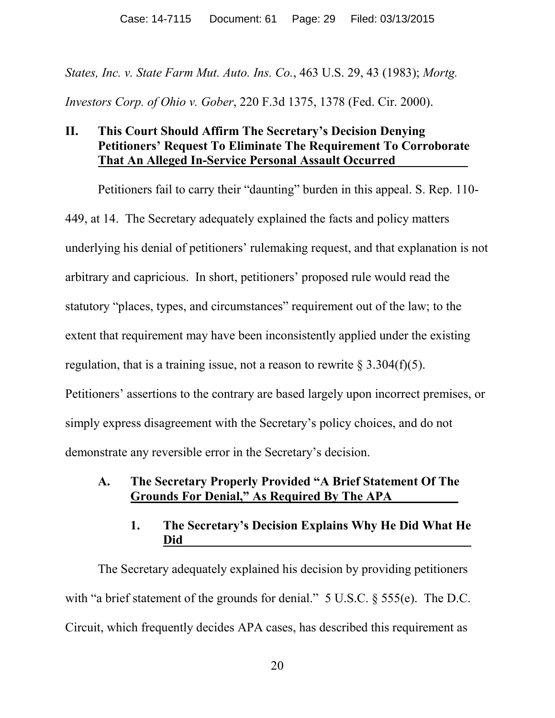*States, Inc. v. State Farm Mut. Auto. Ins. Co.*, 463 U.S. 29, 43 (1983); *Mortg. Investors Corp. of Ohio v. Gober*, 220 F.3d 1375, 1378 (Fed. Cir. 2000).

## **II. This Court Should Affirm The Secretary's Decision Denying Petitioners' Request To Eliminate The Requirement To Corroborate That An Alleged In-Service Personal Assault Occurred .**

Petitioners fail to carry their "daunting" burden in this appeal. S. Rep. 110- 449, at 14. The Secretary adequately explained the facts and policy matters underlying his denial of petitioners' rulemaking request, and that explanation is not arbitrary and capricious. In short, petitioners' proposed rule would read the statutory "places, types, and circumstances" requirement out of the law; to the extent that requirement may have been inconsistently applied under the existing regulation, that is a training issue, not a reason to rewrite  $\S 3.304(f)(5)$ . Petitioners' assertions to the contrary are based largely upon incorrect premises, or simply express disagreement with the Secretary's policy choices, and do not demonstrate any reversible error in the Secretary's decision.

### **A. The Secretary Properly Provided "A Brief Statement Of The Grounds For Denial, " As Required By The APA .**

## **1. The Secretary's Decision Explains Why He Did What He Did .**

The Secretary adequately explained his decision by providing petitioners with "a brief statement of the grounds for denial." 5 U.S.C. § 555(e). The D.C. Circuit, which frequently decides APA cases, has described this requirement as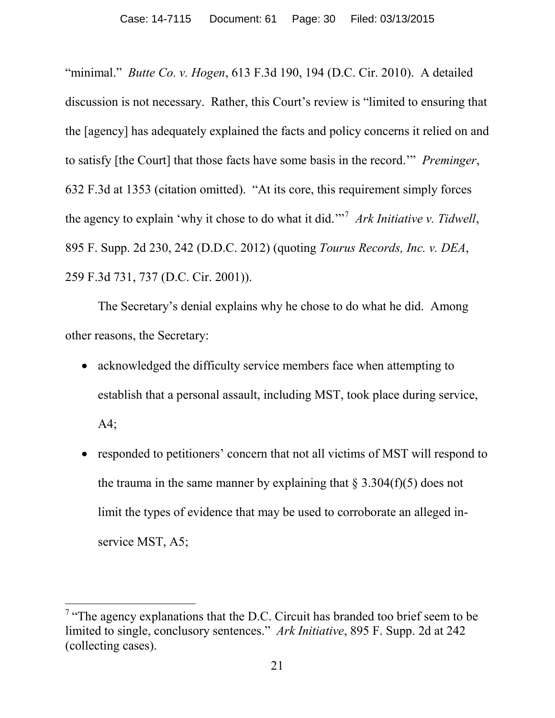"minimal." *Butte Co. v. Hogen*, 613 F.3d 190, 194 (D.C. Cir. 2010). A detailed discussion is not necessary. Rather, this Court's review is "limited to ensuring that the [agency] has adequately explained the facts and policy concerns it relied on and to satisfy [the Court] that those facts have some basis in the record.'" *Preminger*, 632 F.3d at 1353 (citation omitted). "At its core, this requirement simply forces the agency to explain 'why it chose to do what it did.'"[7](#page-29-0) *Ark Initiative v. Tidwell*, 895 F. Supp. 2d 230, 242 (D.D.C. 2012) (quoting *Tourus Records, Inc. v. DEA*, 259 F.3d 731, 737 (D.C. Cir. 2001)).

The Secretary's denial explains why he chose to do what he did. Among other reasons, the Secretary:

- acknowledged the difficulty service members face when attempting to establish that a personal assault, including MST, took place during service, A4;
- responded to petitioners' concern that not all victims of MST will respond to the trauma in the same manner by explaining that  $\S 3.304(f)(5)$  does not limit the types of evidence that may be used to corroborate an alleged inservice MST, A5;

<span id="page-29-0"></span><sup>&</sup>lt;sup>7</sup> "The agency explanations that the D.C. Circuit has branded too brief seem to be limited to single, conclusory sentences." *Ark Initiative*, 895 F. Supp. 2d at 242 (collecting cases).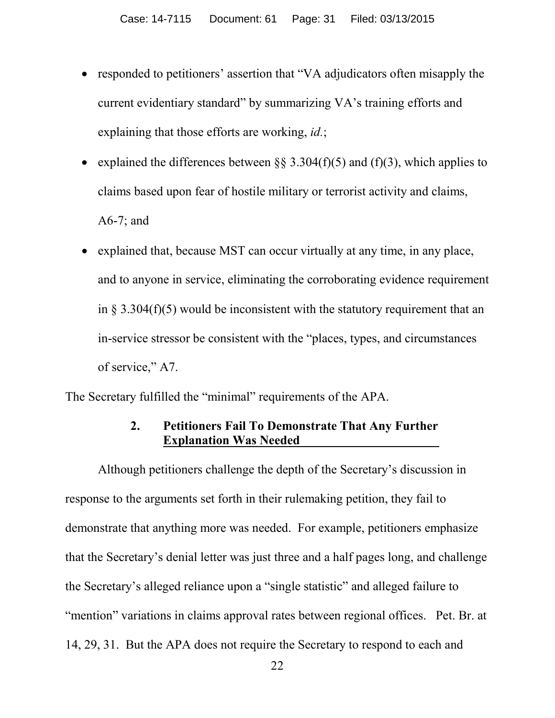- responded to petitioners' assertion that "VA adjudicators often misapply the current evidentiary standard" by summarizing VA's training efforts and explaining that those efforts are working, *id.*;
- explained the differences between  $\S$ § 3.304(f)(5) and (f)(3), which applies to claims based upon fear of hostile military or terrorist activity and claims, A6-7; and
- explained that, because MST can occur virtually at any time, in any place, and to anyone in service, eliminating the corroborating evidence requirement in  $\S 3.304(f)(5)$  would be inconsistent with the statutory requirement that an in-service stressor be consistent with the "places, types, and circumstances of service," A7.

The Secretary fulfilled the "minimal" requirements of the APA.

### **2. Petitioners Fail To Demonstrate That Any Further Explanation Was Needed .**

Although petitioners challenge the depth of the Secretary's discussion in response to the arguments set forth in their rulemaking petition, they fail to demonstrate that anything more was needed. For example, petitioners emphasize that the Secretary's denial letter was just three and a half pages long, and challenge the Secretary's alleged reliance upon a "single statistic" and alleged failure to "mention" variations in claims approval rates between regional offices. Pet. Br. at 14, 29, 31. But the APA does not require the Secretary to respond to each and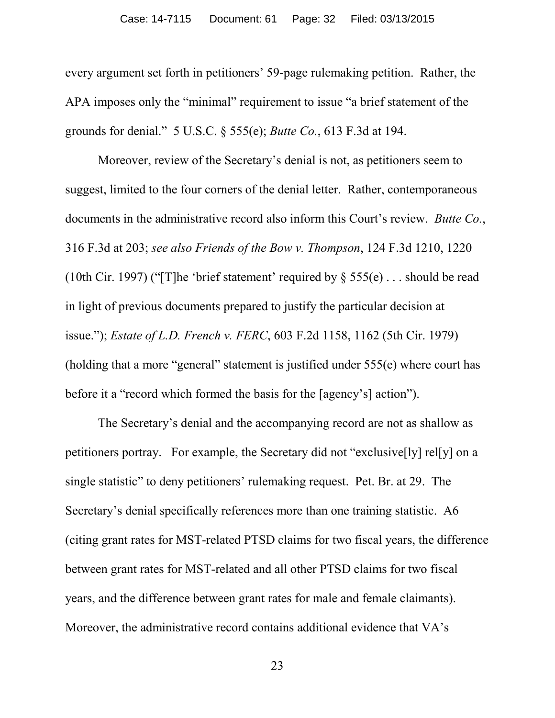every argument set forth in petitioners' 59-page rulemaking petition. Rather, the APA imposes only the "minimal" requirement to issue "a brief statement of the grounds for denial." 5 U.S.C. § 555(e); *Butte Co.*, 613 F.3d at 194.

Moreover, review of the Secretary's denial is not, as petitioners seem to suggest, limited to the four corners of the denial letter. Rather, contemporaneous documents in the administrative record also inform this Court's review. *Butte Co.*, 316 F.3d at 203; *see also Friends of the Bow v. Thompson*, 124 F.3d 1210, 1220 (10th Cir. 1997) ("[T]he 'brief statement' required by § 555(e) . . . should be read in light of previous documents prepared to justify the particular decision at issue."); *Estate of L.D. French v. FERC*, 603 F.2d 1158, 1162 (5th Cir. 1979) (holding that a more "general" statement is justified under 555(e) where court has before it a "record which formed the basis for the [agency's] action").

The Secretary's denial and the accompanying record are not as shallow as petitioners portray. For example, the Secretary did not "exclusive[ly] rel[y] on a single statistic" to deny petitioners' rulemaking request. Pet. Br. at 29. The Secretary's denial specifically references more than one training statistic. A6 (citing grant rates for MST-related PTSD claims for two fiscal years, the difference between grant rates for MST-related and all other PTSD claims for two fiscal years, and the difference between grant rates for male and female claimants). Moreover, the administrative record contains additional evidence that VA's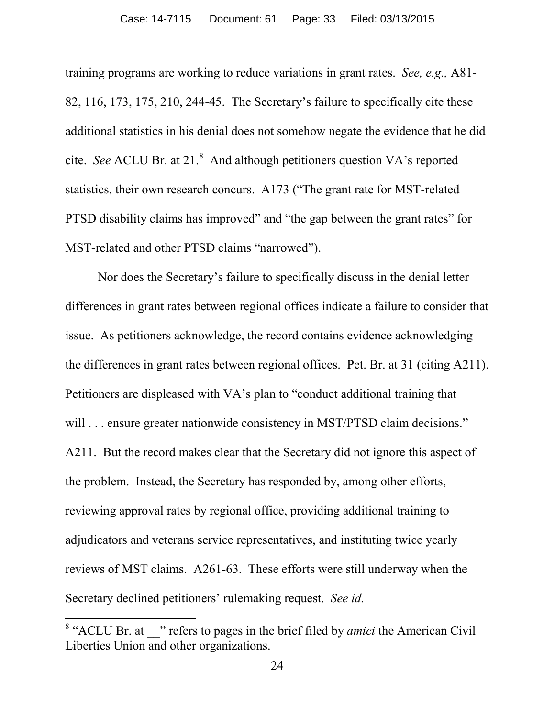training programs are working to reduce variations in grant rates. *See, e.g.,* A81- 82, 116, 173, 175, 210, 244-45. The Secretary's failure to specifically cite these additional statistics in his denial does not somehow negate the evidence that he did cite. *See* ACLU Br. at 21. $^8$  $^8$  And although petitioners question VA's reported statistics, their own research concurs. A173 ("The grant rate for MST-related PTSD disability claims has improved" and "the gap between the grant rates" for MST-related and other PTSD claims "narrowed").

Nor does the Secretary's failure to specifically discuss in the denial letter differences in grant rates between regional offices indicate a failure to consider that issue. As petitioners acknowledge, the record contains evidence acknowledging the differences in grant rates between regional offices. Pet. Br. at 31 (citing A211). Petitioners are displeased with VA's plan to "conduct additional training that will . . . ensure greater nationwide consistency in MST/PTSD claim decisions." A211. But the record makes clear that the Secretary did not ignore this aspect of the problem. Instead, the Secretary has responded by, among other efforts, reviewing approval rates by regional office, providing additional training to adjudicators and veterans service representatives, and instituting twice yearly reviews of MST claims. A261-63. These efforts were still underway when the Secretary declined petitioners' rulemaking request. *See id.*

<span id="page-32-0"></span><sup>&</sup>lt;sup>8</sup> "ACLU Br. at <sup>"</sup> refers to pages in the brief filed by *amici* the American Civil Liberties Union and other organizations.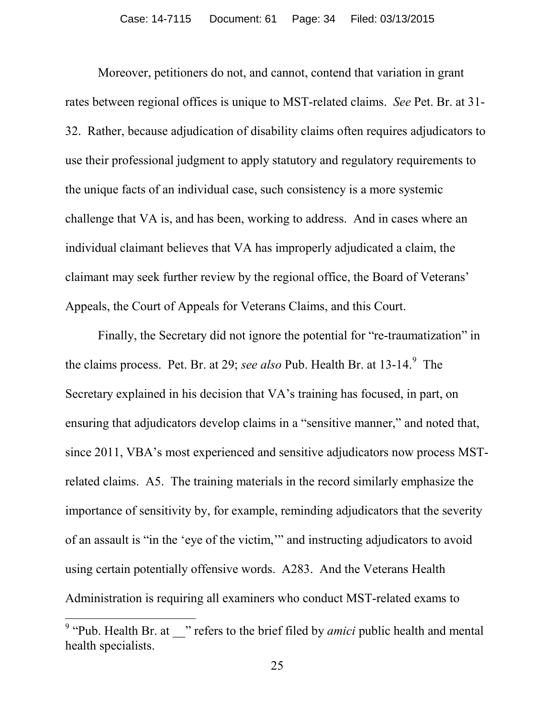Moreover, petitioners do not, and cannot, contend that variation in grant rates between regional offices is unique to MST-related claims. *See* Pet. Br. at 31- 32. Rather, because adjudication of disability claims often requires adjudicators to use their professional judgment to apply statutory and regulatory requirements to the unique facts of an individual case, such consistency is a more systemic challenge that VA is, and has been, working to address. And in cases where an individual claimant believes that VA has improperly adjudicated a claim, the claimant may seek further review by the regional office, the Board of Veterans' Appeals, the Court of Appeals for Veterans Claims, and this Court.

Finally, the Secretary did not ignore the potential for "re-traumatization" in the claims process. Pet. Br. at 2[9](#page-33-0); *see also* Pub. Health Br. at 13-14.<sup>9</sup> The Secretary explained in his decision that VA's training has focused, in part, on ensuring that adjudicators develop claims in a "sensitive manner," and noted that, since 2011, VBA's most experienced and sensitive adjudicators now process MSTrelated claims. A5. The training materials in the record similarly emphasize the importance of sensitivity by, for example, reminding adjudicators that the severity of an assault is "in the 'eye of the victim,'" and instructing adjudicators to avoid using certain potentially offensive words. A283. And the Veterans Health Administration is requiring all examiners who conduct MST-related exams to

<span id="page-33-0"></span><sup>9</sup> "Pub. Health Br. at \_\_" refers to the brief filed by *amici* public health and mental health specialists.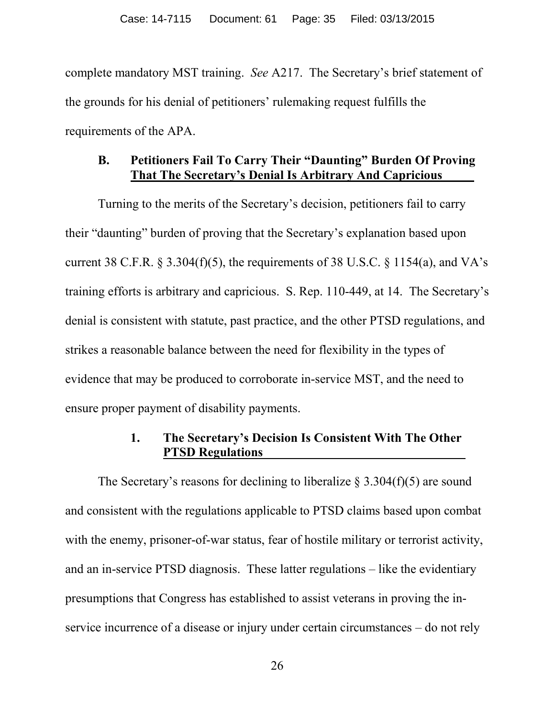complete mandatory MST training. *See* A217. The Secretary's brief statement of the grounds for his denial of petitioners' rulemaking request fulfills the requirements of the APA.

## **B. Petitioners Fail To Carry Their "Daunting" Burden Of Proving That The Secretary's Denial Is Arbitrary And Capricious .**

Turning to the merits of the Secretary's decision, petitioners fail to carry their "daunting" burden of proving that the Secretary's explanation based upon current 38 C.F.R.  $\S 3.304(f)(5)$ , the requirements of 38 U.S.C.  $\S 1154(a)$ , and VA's training efforts is arbitrary and capricious. S. Rep. 110-449, at 14. The Secretary's denial is consistent with statute, past practice, and the other PTSD regulations, and strikes a reasonable balance between the need for flexibility in the types of evidence that may be produced to corroborate in-service MST, and the need to ensure proper payment of disability payments.

### **1. The Secretary's Decision Is Consistent With The Other PTSD Regulations .**

The Secretary's reasons for declining to liberalize  $\S 3.304(f)(5)$  are sound and consistent with the regulations applicable to PTSD claims based upon combat with the enemy, prisoner-of-war status, fear of hostile military or terrorist activity, and an in-service PTSD diagnosis. These latter regulations – like the evidentiary presumptions that Congress has established to assist veterans in proving the inservice incurrence of a disease or injury under certain circumstances – do not rely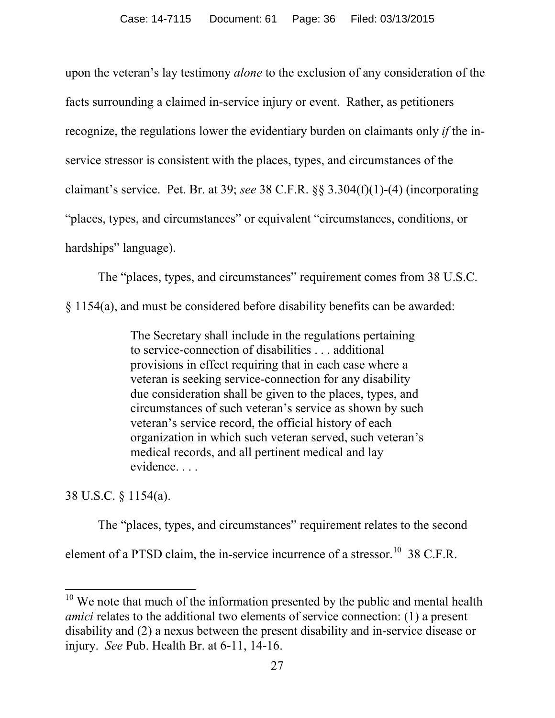upon the veteran's lay testimony *alone* to the exclusion of any consideration of the facts surrounding a claimed in-service injury or event. Rather, as petitioners recognize, the regulations lower the evidentiary burden on claimants only *if* the inservice stressor is consistent with the places, types, and circumstances of the claimant's service. Pet. Br. at 39; *see* 38 C.F.R. §§ 3.304(f)(1)-(4) (incorporating "places, types, and circumstances" or equivalent "circumstances, conditions, or hardships" language).

The "places, types, and circumstances" requirement comes from 38 U.S.C.

§ 1154(a), and must be considered before disability benefits can be awarded:

The Secretary shall include in the regulations pertaining to service-connection of disabilities . . . additional provisions in effect requiring that in each case where a veteran is seeking service-connection for any disability due consideration shall be given to the places, types, and circumstances of such veteran's service as shown by such veteran's service record, the official history of each organization in which such veteran served, such veteran's medical records, and all pertinent medical and lay evidence. . . .

38 U.S.C. § 1154(a).

 $\overline{a}$ 

The "places, types, and circumstances" requirement relates to the second

element of a PTSD claim, the in-service incurrence of a stressor.<sup>[10](#page-35-0)</sup> 38 C.F.R.

<span id="page-35-0"></span> $10$  We note that much of the information presented by the public and mental health *amici* relates to the additional two elements of service connection: (1) a present disability and (2) a nexus between the present disability and in-service disease or injury. *See* Pub. Health Br. at 6-11, 14-16.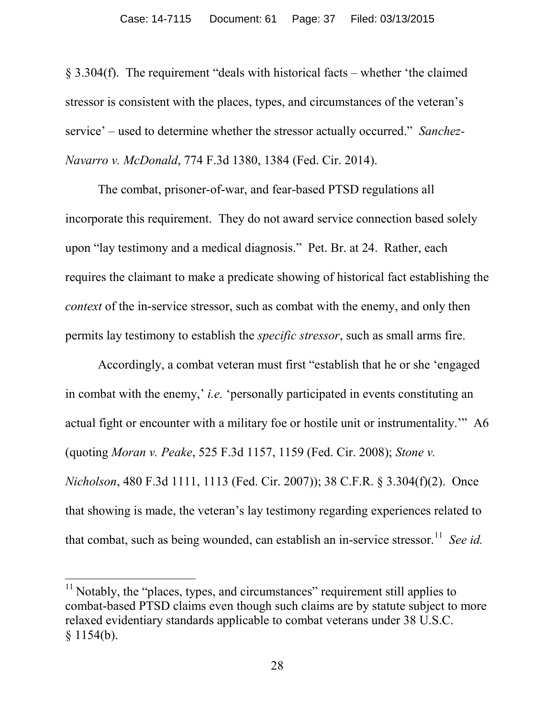§ 3.304(f). The requirement "deals with historical facts – whether 'the claimed stressor is consistent with the places, types, and circumstances of the veteran's service' – used to determine whether the stressor actually occurred." *Sanchez-Navarro v. McDonald*, 774 F.3d 1380, 1384 (Fed. Cir. 2014).

The combat, prisoner-of-war, and fear-based PTSD regulations all incorporate this requirement. They do not award service connection based solely upon "lay testimony and a medical diagnosis." Pet. Br. at 24. Rather, each requires the claimant to make a predicate showing of historical fact establishing the *context* of the in-service stressor, such as combat with the enemy, and only then permits lay testimony to establish the *specific stressor*, such as small arms fire.

Accordingly, a combat veteran must first "establish that he or she 'engaged in combat with the enemy,' *i.e.* 'personally participated in events constituting an actual fight or encounter with a military foe or hostile unit or instrumentality.'" A6 (quoting *Moran v. Peake*, 525 F.3d 1157, 1159 (Fed. Cir. 2008); *Stone v. Nicholson*, 480 F.3d 1111, 1113 (Fed. Cir. 2007)); 38 C.F.R. § 3.304(f)(2). Once that showing is made, the veteran's lay testimony regarding experiences related to that combat, such as being wounded, can establish an in-service stressor.<sup>11</sup> *See id.* 

<span id="page-36-0"></span> $11$  Notably, the "places, types, and circumstances" requirement still applies to combat-based PTSD claims even though such claims are by statute subject to more relaxed evidentiary standards applicable to combat veterans under 38 U.S.C.  $$1154(b).$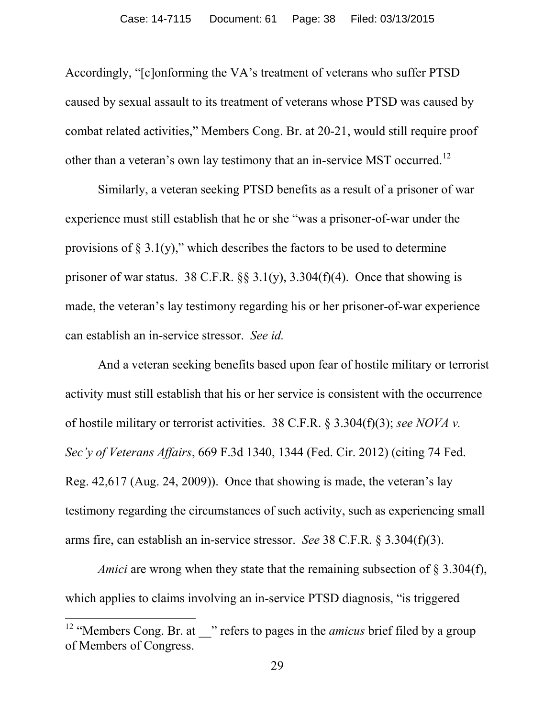Accordingly, "[c]onforming the VA's treatment of veterans who suffer PTSD caused by sexual assault to its treatment of veterans whose PTSD was caused by combat related activities," Members Cong. Br. at 20-21, would still require proof other than a veteran's own lay testimony that an in-service MST occurred.<sup>12</sup>

Similarly, a veteran seeking PTSD benefits as a result of a prisoner of war experience must still establish that he or she "was a prisoner-of-war under the provisions of  $\S 3.1(y)$ ," which describes the factors to be used to determine prisoner of war status. 38 C.F.R.  $\S$ § 3.1(y), 3.304(f)(4). Once that showing is made, the veteran's lay testimony regarding his or her prisoner-of-war experience can establish an in-service stressor. *See id.* 

And a veteran seeking benefits based upon fear of hostile military or terrorist activity must still establish that his or her service is consistent with the occurrence of hostile military or terrorist activities. 38 C.F.R. § 3.304(f)(3); *see NOVA v. Sec'y of Veterans Affairs*, 669 F.3d 1340, 1344 (Fed. Cir. 2012) (citing 74 Fed. Reg. 42,617 (Aug. 24, 2009)). Once that showing is made, the veteran's lay testimony regarding the circumstances of such activity, such as experiencing small arms fire, can establish an in-service stressor. *See* 38 C.F.R. § 3.304(f)(3).

*Amici* are wrong when they state that the remaining subsection of § 3.304(f), which applies to claims involving an in-service PTSD diagnosis, "is triggered

<span id="page-37-0"></span><sup>&</sup>lt;sup>12</sup> "Members Cong. Br. at <sup>"</sup> refers to pages in the *amicus* brief filed by a group of Members of Congress.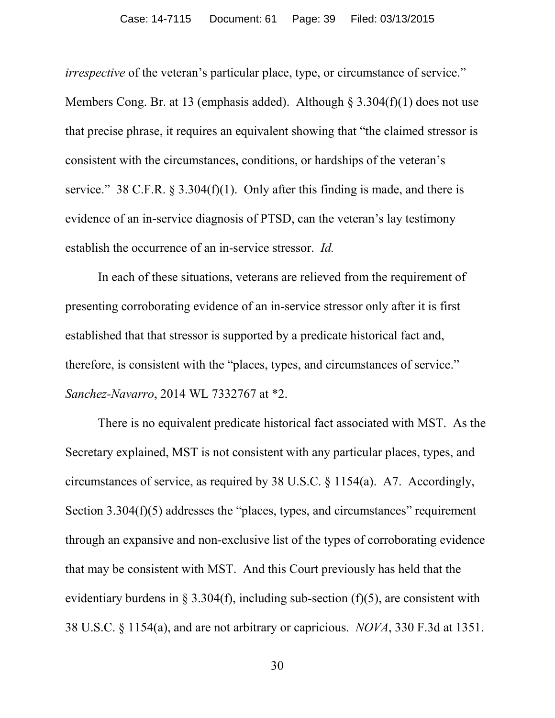*irrespective* of the veteran's particular place, type, or circumstance of service." Members Cong. Br. at 13 (emphasis added). Although  $\S 3.304(f)(1)$  does not use that precise phrase, it requires an equivalent showing that "the claimed stressor is consistent with the circumstances, conditions, or hardships of the veteran's service." 38 C.F.R.  $\S 3.304(f)(1)$ . Only after this finding is made, and there is evidence of an in-service diagnosis of PTSD, can the veteran's lay testimony establish the occurrence of an in-service stressor. *Id.*

In each of these situations, veterans are relieved from the requirement of presenting corroborating evidence of an in-service stressor only after it is first established that that stressor is supported by a predicate historical fact and, therefore, is consistent with the "places, types, and circumstances of service." *Sanchez-Navarro*, 2014 WL 7332767 at \*2.

There is no equivalent predicate historical fact associated with MST. As the Secretary explained, MST is not consistent with any particular places, types, and circumstances of service, as required by 38 U.S.C. § 1154(a). A7. Accordingly, Section 3.304(f)(5) addresses the "places, types, and circumstances" requirement through an expansive and non-exclusive list of the types of corroborating evidence that may be consistent with MST. And this Court previously has held that the evidentiary burdens in  $\S 3.304(f)$ , including sub-section (f)(5), are consistent with 38 U.S.C. § 1154(a), and are not arbitrary or capricious. *NOVA*, 330 F.3d at 1351.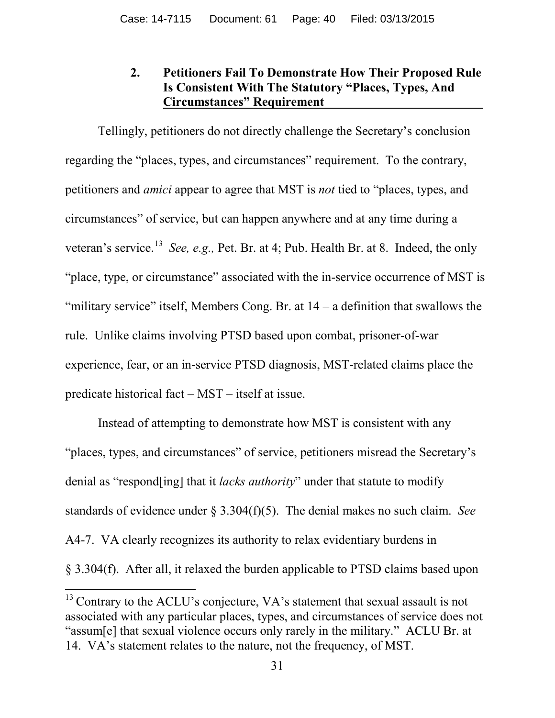## **2. Petitioners Fail To Demonstrate How Their Proposed Rule Is Consistent With The Statutory "Places, Types, And Circumstances" Requirement .**

 Tellingly, petitioners do not directly challenge the Secretary's conclusion regarding the "places, types, and circumstances" requirement. To the contrary, petitioners and *amici* appear to agree that MST is *not* tied to "places, types, and circumstances" of service, but can happen anywhere and at any time during a veteran's service.[13](#page-39-0) *See, e.g.,* Pet. Br. at 4; Pub. Health Br. at 8. Indeed, the only "place, type, or circumstance" associated with the in-service occurrence of MST is "military service" itself, Members Cong. Br. at  $14 - a$  definition that swallows the rule. Unlike claims involving PTSD based upon combat, prisoner-of-war experience, fear, or an in-service PTSD diagnosis, MST-related claims place the predicate historical fact – MST – itself at issue.

Instead of attempting to demonstrate how MST is consistent with any "places, types, and circumstances" of service, petitioners misread the Secretary's denial as "respond[ing] that it *lacks authority*" under that statute to modify standards of evidence under § 3.304(f)(5). The denial makes no such claim. *See*  A4-7. VA clearly recognizes its authority to relax evidentiary burdens in § 3.304(f). After all, it relaxed the burden applicable to PTSD claims based upon

<span id="page-39-0"></span> $13$  Contrary to the ACLU's conjecture, VA's statement that sexual assault is not associated with any particular places, types, and circumstances of service does not "assum[e] that sexual violence occurs only rarely in the military." ACLU Br. at 14. VA's statement relates to the nature, not the frequency, of MST.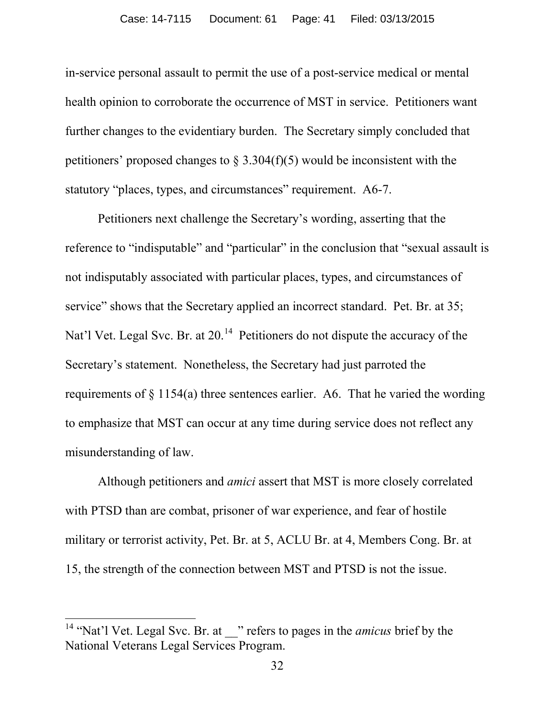in-service personal assault to permit the use of a post-service medical or mental health opinion to corroborate the occurrence of MST in service. Petitioners want further changes to the evidentiary burden. The Secretary simply concluded that petitioners' proposed changes to  $\S 3.304(f)(5)$  would be inconsistent with the statutory "places, types, and circumstances" requirement. A6-7.

Petitioners next challenge the Secretary's wording, asserting that the reference to "indisputable" and "particular" in the conclusion that "sexual assault is not indisputably associated with particular places, types, and circumstances of service" shows that the Secretary applied an incorrect standard. Pet. Br. at 35; Nat'l Vet. Legal Svc. Br. at 20.<sup>14</sup> Petitioners do not dispute the accuracy of the Secretary's statement. Nonetheless, the Secretary had just parroted the requirements of  $\S$  1154(a) three sentences earlier. A6. That he varied the wording to emphasize that MST can occur at any time during service does not reflect any misunderstanding of law.

Although petitioners and *amici* assert that MST is more closely correlated with PTSD than are combat, prisoner of war experience, and fear of hostile military or terrorist activity, Pet. Br. at 5, ACLU Br. at 4, Members Cong. Br. at 15, the strength of the connection between MST and PTSD is not the issue.

<span id="page-40-0"></span><sup>&</sup>lt;sup>14</sup> "Nat'l Vet. Legal Svc. Br. at \_\_" refers to pages in the *amicus* brief by the National Veterans Legal Services Program.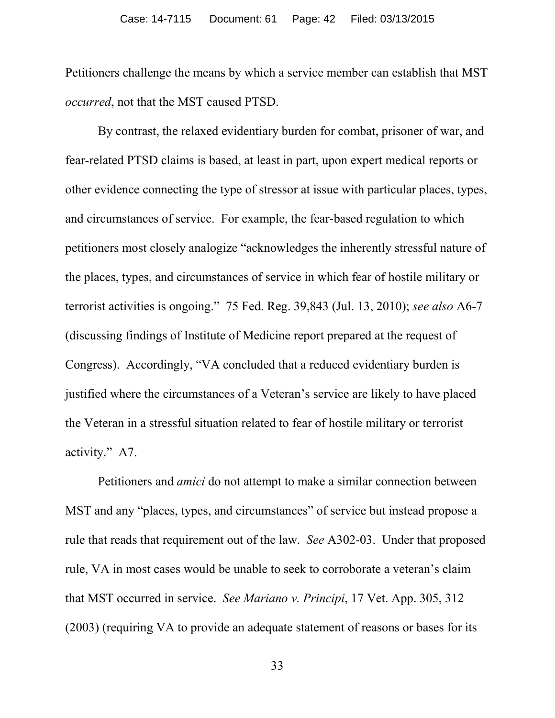Petitioners challenge the means by which a service member can establish that MST *occurred*, not that the MST caused PTSD.

By contrast, the relaxed evidentiary burden for combat, prisoner of war, and fear-related PTSD claims is based, at least in part, upon expert medical reports or other evidence connecting the type of stressor at issue with particular places, types, and circumstances of service. For example, the fear-based regulation to which petitioners most closely analogize "acknowledges the inherently stressful nature of the places, types, and circumstances of service in which fear of hostile military or terrorist activities is ongoing." 75 Fed. Reg. 39,843 (Jul. 13, 2010); *see also* A6-7 (discussing findings of Institute of Medicine report prepared at the request of Congress). Accordingly, "VA concluded that a reduced evidentiary burden is justified where the circumstances of a Veteran's service are likely to have placed the Veteran in a stressful situation related to fear of hostile military or terrorist activity." A7.

Petitioners and *amici* do not attempt to make a similar connection between MST and any "places, types, and circumstances" of service but instead propose a rule that reads that requirement out of the law. *See* A302-03. Under that proposed rule, VA in most cases would be unable to seek to corroborate a veteran's claim that MST occurred in service. *See Mariano v. Principi*, 17 Vet. App. 305, 312 (2003) (requiring VA to provide an adequate statement of reasons or bases for its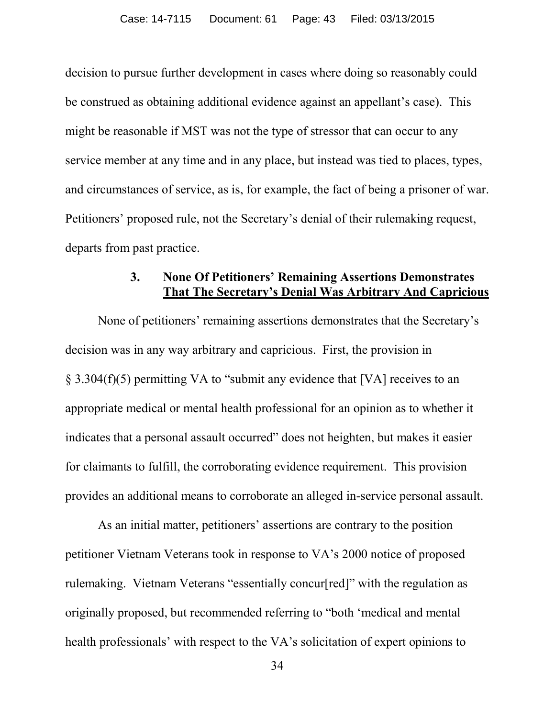decision to pursue further development in cases where doing so reasonably could be construed as obtaining additional evidence against an appellant's case). This might be reasonable if MST was not the type of stressor that can occur to any service member at any time and in any place, but instead was tied to places, types, and circumstances of service, as is, for example, the fact of being a prisoner of war. Petitioners' proposed rule, not the Secretary's denial of their rulemaking request, departs from past practice.

#### **3. None Of Petitioners' Remaining Assertions Demonstrates That The Secretary's Denial Was Arbitrary And Capricious**

None of petitioners' remaining assertions demonstrates that the Secretary's decision was in any way arbitrary and capricious. First, the provision in § 3.304(f)(5) permitting VA to "submit any evidence that [VA] receives to an appropriate medical or mental health professional for an opinion as to whether it indicates that a personal assault occurred" does not heighten, but makes it easier for claimants to fulfill, the corroborating evidence requirement. This provision provides an additional means to corroborate an alleged in-service personal assault.

As an initial matter, petitioners' assertions are contrary to the position petitioner Vietnam Veterans took in response to VA's 2000 notice of proposed rulemaking. Vietnam Veterans "essentially concur[red]" with the regulation as originally proposed, but recommended referring to "both 'medical and mental health professionals' with respect to the VA's solicitation of expert opinions to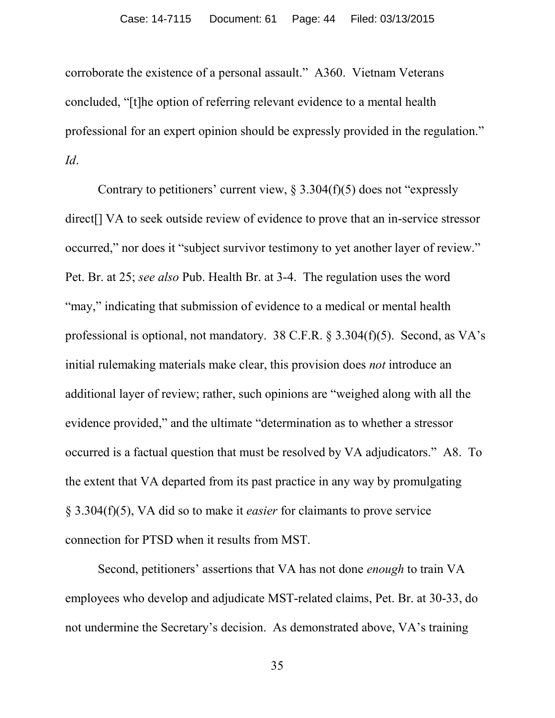corroborate the existence of a personal assault." A360. Vietnam Veterans concluded, "[t]he option of referring relevant evidence to a mental health professional for an expert opinion should be expressly provided in the regulation." *Id*.

Contrary to petitioners' current view,  $\S 3.304(f)(5)$  does not "expressly" direct[] VA to seek outside review of evidence to prove that an in-service stressor occurred," nor does it "subject survivor testimony to yet another layer of review." Pet. Br. at 25; *see also* Pub. Health Br. at 3-4. The regulation uses the word "may," indicating that submission of evidence to a medical or mental health professional is optional, not mandatory. 38 C.F.R. § 3.304(f)(5). Second, as VA's initial rulemaking materials make clear, this provision does *not* introduce an additional layer of review; rather, such opinions are "weighed along with all the evidence provided," and the ultimate "determination as to whether a stressor occurred is a factual question that must be resolved by VA adjudicators." A8. To the extent that VA departed from its past practice in any way by promulgating § 3.304(f)(5), VA did so to make it *easier* for claimants to prove service connection for PTSD when it results from MST.

Second, petitioners' assertions that VA has not done *enough* to train VA employees who develop and adjudicate MST-related claims, Pet. Br. at 30-33, do not undermine the Secretary's decision. As demonstrated above, VA's training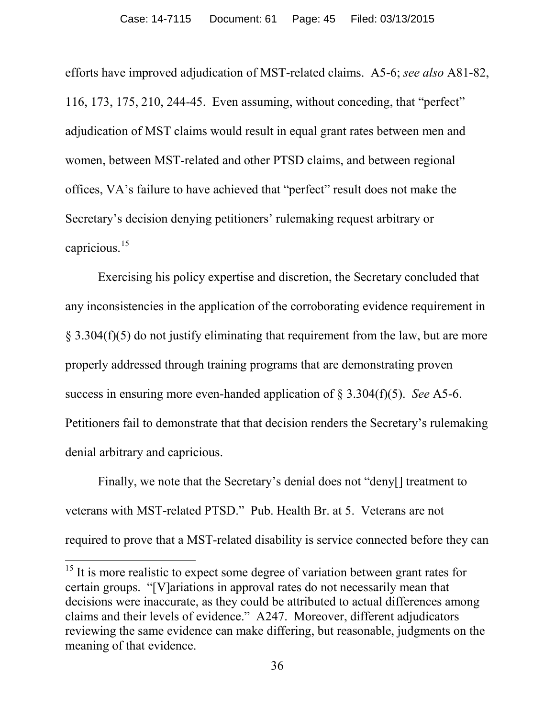efforts have improved adjudication of MST-related claims. A5-6; *see also* A81-82, 116, 173, 175, 210, 244-45. Even assuming, without conceding, that "perfect" adjudication of MST claims would result in equal grant rates between men and women, between MST-related and other PTSD claims, and between regional offices, VA's failure to have achieved that "perfect" result does not make the Secretary's decision denying petitioners' rulemaking request arbitrary or capricious.[15](#page-44-0) 

Exercising his policy expertise and discretion, the Secretary concluded that any inconsistencies in the application of the corroborating evidence requirement in § 3.304(f)(5) do not justify eliminating that requirement from the law, but are more properly addressed through training programs that are demonstrating proven success in ensuring more even-handed application of § 3.304(f)(5). *See* A5-6. Petitioners fail to demonstrate that that decision renders the Secretary's rulemaking denial arbitrary and capricious.

Finally, we note that the Secretary's denial does not "deny[] treatment to veterans with MST-related PTSD." Pub. Health Br. at 5. Veterans are not required to prove that a MST-related disability is service connected before they can

<span id="page-44-0"></span> $15$  It is more realistic to expect some degree of variation between grant rates for certain groups. "[V]ariations in approval rates do not necessarily mean that decisions were inaccurate, as they could be attributed to actual differences among claims and their levels of evidence." A247. Moreover, different adjudicators reviewing the same evidence can make differing, but reasonable, judgments on the meaning of that evidence.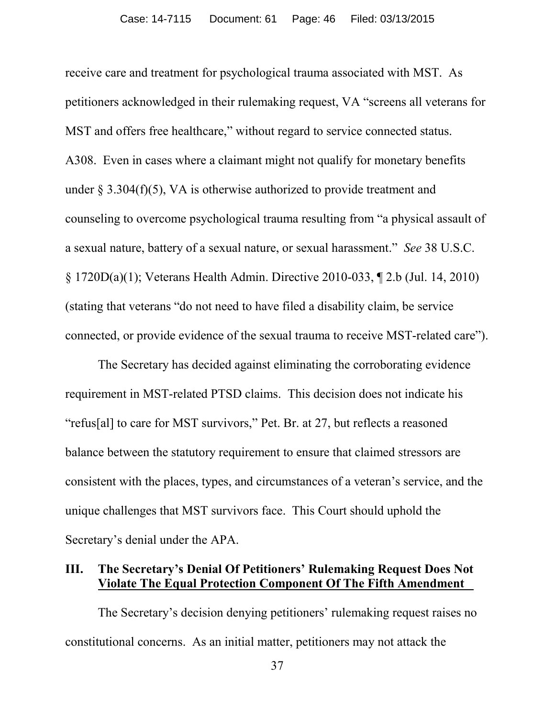receive care and treatment for psychological trauma associated with MST. As petitioners acknowledged in their rulemaking request, VA "screens all veterans for MST and offers free healthcare," without regard to service connected status. A308. Even in cases where a claimant might not qualify for monetary benefits under  $\S 3.304(f)(5)$ , VA is otherwise authorized to provide treatment and counseling to overcome psychological trauma resulting from "a physical assault of a sexual nature, battery of a sexual nature, or sexual harassment." *See* 38 U.S.C. § 1720D(a)(1); Veterans Health Admin. Directive 2010-033, ¶ 2.b (Jul. 14, 2010) (stating that veterans "do not need to have filed a disability claim, be service connected, or provide evidence of the sexual trauma to receive MST-related care").

The Secretary has decided against eliminating the corroborating evidence requirement in MST-related PTSD claims. This decision does not indicate his "refus[al] to care for MST survivors," Pet. Br. at 27, but reflects a reasoned balance between the statutory requirement to ensure that claimed stressors are consistent with the places, types, and circumstances of a veteran's service, and the unique challenges that MST survivors face. This Court should uphold the Secretary's denial under the APA.

#### **III. The Secretary's Denial Of Petitioners' Rulemaking Request Does Not Violate The Equal Protection Component Of The Fifth Amendment .**

The Secretary's decision denying petitioners' rulemaking request raises no constitutional concerns. As an initial matter, petitioners may not attack the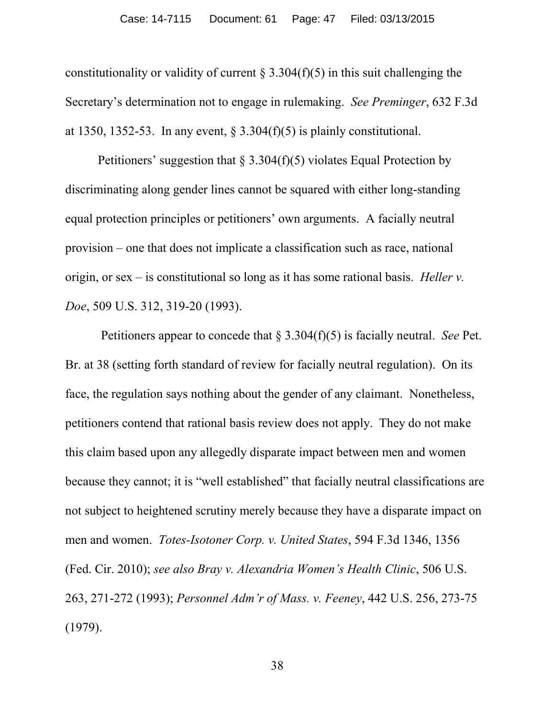constitutionality or validity of current  $\S 3.304(f)(5)$  in this suit challenging the Secretary's determination not to engage in rulemaking. *See Preminger*, 632 F.3d at 1350, 1352-53. In any event,  $\S 3.304(f)(5)$  is plainly constitutional.

Petitioners' suggestion that  $\S 3.304(f)(5)$  violates Equal Protection by discriminating along gender lines cannot be squared with either long-standing equal protection principles or petitioners' own arguments. A facially neutral provision – one that does not implicate a classification such as race, national origin, or sex – is constitutional so long as it has some rational basis. *Heller v. Doe*, 509 U.S. 312, 319-20 (1993).

Petitioners appear to concede that § 3.304(f)(5) is facially neutral. *See* Pet. Br. at 38 (setting forth standard of review for facially neutral regulation). On its face, the regulation says nothing about the gender of any claimant. Nonetheless, petitioners contend that rational basis review does not apply. They do not make this claim based upon any allegedly disparate impact between men and women because they cannot; it is "well established" that facially neutral classifications are not subject to heightened scrutiny merely because they have a disparate impact on men and women. *Totes-Isotoner Corp. v. United States*, 594 F.3d 1346, 1356 (Fed. Cir. 2010); *see also Bray v. Alexandria Women's Health Clinic*, 506 U.S. 263, 271-272 (1993); *Personnel Adm'r of Mass. v. Feeney*, 442 U.S. 256, 273-75 (1979).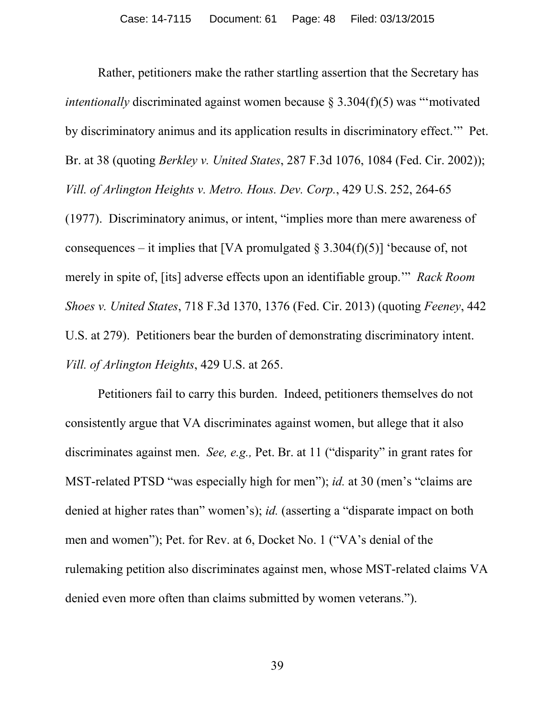Rather, petitioners make the rather startling assertion that the Secretary has *intentionally* discriminated against women because § 3.304(f)(5) was "motivated by discriminatory animus and its application results in discriminatory effect.'" Pet. Br. at 38 (quoting *Berkley v. United States*, 287 F.3d 1076, 1084 (Fed. Cir. 2002)); *Vill. of Arlington Heights v. Metro. Hous. Dev. Corp.*, 429 U.S. 252, 264-65 (1977). Discriminatory animus, or intent, "implies more than mere awareness of consequences – it implies that [VA promulgated  $\S 3.304(f)(5)$ ] 'because of, not merely in spite of, [its] adverse effects upon an identifiable group.'" *Rack Room Shoes v. United States*, 718 F.3d 1370, 1376 (Fed. Cir. 2013) (quoting *Feeney*, 442 U.S. at 279). Petitioners bear the burden of demonstrating discriminatory intent. *Vill. of Arlington Heights*, 429 U.S. at 265.

Petitioners fail to carry this burden. Indeed, petitioners themselves do not consistently argue that VA discriminates against women, but allege that it also discriminates against men. *See, e.g.,* Pet. Br. at 11 ("disparity" in grant rates for MST-related PTSD "was especially high for men"); *id.* at 30 (men's "claims are denied at higher rates than" women's); *id.* (asserting a "disparate impact on both men and women"); Pet. for Rev. at 6, Docket No. 1 ("VA's denial of the rulemaking petition also discriminates against men, whose MST-related claims VA denied even more often than claims submitted by women veterans.").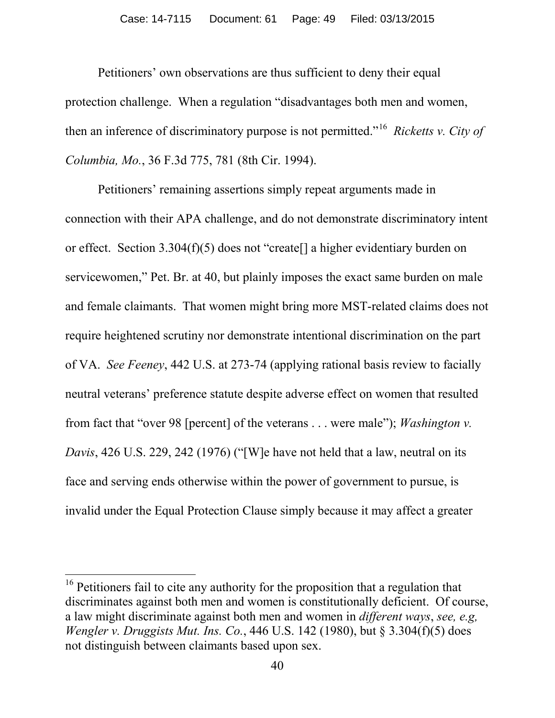Petitioners' own observations are thus sufficient to deny their equal protection challenge. When a regulation "disadvantages both men and women, then an inference of discriminatory purpose is not permitted."[16](#page-48-0) *Ricketts v. City of Columbia, Mo.*, 36 F.3d 775, 781 (8th Cir. 1994).

Petitioners' remaining assertions simply repeat arguments made in connection with their APA challenge, and do not demonstrate discriminatory intent or effect. Section 3.304(f)(5) does not "create[] a higher evidentiary burden on servicewomen," Pet. Br. at 40, but plainly imposes the exact same burden on male and female claimants. That women might bring more MST-related claims does not require heightened scrutiny nor demonstrate intentional discrimination on the part of VA. *See Feeney*, 442 U.S. at 273-74 (applying rational basis review to facially neutral veterans' preference statute despite adverse effect on women that resulted from fact that "over 98 [percent] of the veterans . . . were male"); *Washington v. Davis*, 426 U.S. 229, 242 (1976) ("[W]e have not held that a law, neutral on its face and serving ends otherwise within the power of government to pursue, is invalid under the Equal Protection Clause simply because it may affect a greater

<span id="page-48-0"></span><sup>&</sup>lt;sup>16</sup> Petitioners fail to cite any authority for the proposition that a regulation that discriminates against both men and women is constitutionally deficient. Of course, a law might discriminate against both men and women in *different ways*, *see, e.g, Wengler v. Druggists Mut. Ins. Co.*, 446 U.S. 142 (1980), but § 3.304(f)(5) does not distinguish between claimants based upon sex.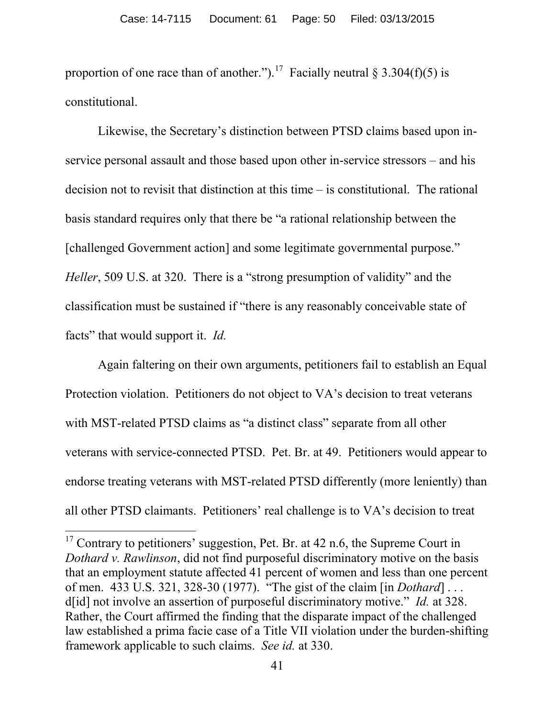proportion of one race than of another.").<sup>[17](#page-49-0)</sup> Facially neutral § 3.304(f)(5) is constitutional.

Likewise, the Secretary's distinction between PTSD claims based upon inservice personal assault and those based upon other in-service stressors – and his decision not to revisit that distinction at this time – is constitutional. The rational basis standard requires only that there be "a rational relationship between the [challenged Government action] and some legitimate governmental purpose." *Heller*, 509 U.S. at 320. There is a "strong presumption of validity" and the classification must be sustained if "there is any reasonably conceivable state of facts" that would support it. *Id.* 

Again faltering on their own arguments, petitioners fail to establish an Equal Protection violation. Petitioners do not object to VA's decision to treat veterans with MST-related PTSD claims as "a distinct class" separate from all other veterans with service-connected PTSD. Pet. Br. at 49. Petitioners would appear to endorse treating veterans with MST-related PTSD differently (more leniently) than all other PTSD claimants. Petitioners' real challenge is to VA's decision to treat

<span id="page-49-0"></span> $17$  Contrary to petitioners' suggestion, Pet. Br. at 42 n.6, the Supreme Court in *Dothard v. Rawlinson*, did not find purposeful discriminatory motive on the basis that an employment statute affected 41 percent of women and less than one percent of men. 433 U.S. 321, 328-30 (1977). "The gist of the claim [in *Dothard*] . . . d[id] not involve an assertion of purposeful discriminatory motive." *Id.* at 328. Rather, the Court affirmed the finding that the disparate impact of the challenged law established a prima facie case of a Title VII violation under the burden-shifting framework applicable to such claims. *See id.* at 330.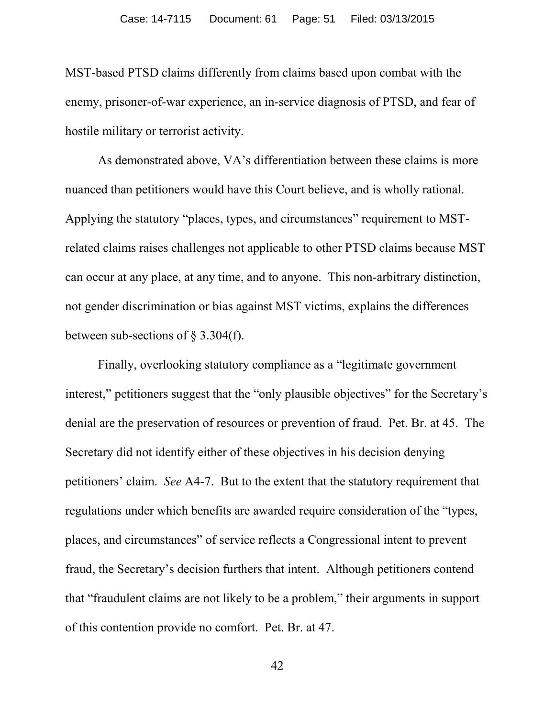MST-based PTSD claims differently from claims based upon combat with the enemy, prisoner-of-war experience, an in-service diagnosis of PTSD, and fear of hostile military or terrorist activity.

As demonstrated above, VA's differentiation between these claims is more nuanced than petitioners would have this Court believe, and is wholly rational. Applying the statutory "places, types, and circumstances" requirement to MSTrelated claims raises challenges not applicable to other PTSD claims because MST can occur at any place, at any time, and to anyone. This non-arbitrary distinction, not gender discrimination or bias against MST victims, explains the differences between sub-sections of § 3.304(f).

Finally, overlooking statutory compliance as a "legitimate government interest," petitioners suggest that the "only plausible objectives" for the Secretary's denial are the preservation of resources or prevention of fraud. Pet. Br. at 45. The Secretary did not identify either of these objectives in his decision denying petitioners' claim. *See* A4-7. But to the extent that the statutory requirement that regulations under which benefits are awarded require consideration of the "types, places, and circumstances" of service reflects a Congressional intent to prevent fraud, the Secretary's decision furthers that intent. Although petitioners contend that "fraudulent claims are not likely to be a problem," their arguments in support of this contention provide no comfort. Pet. Br. at 47.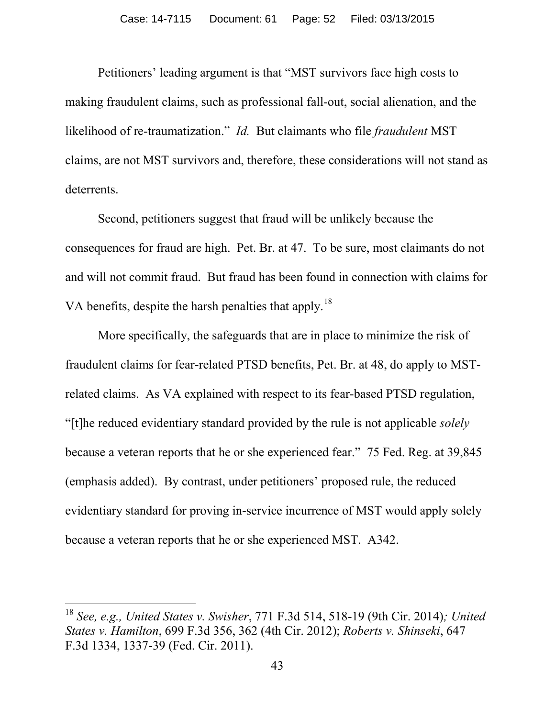Petitioners' leading argument is that "MST survivors face high costs to making fraudulent claims, such as professional fall-out, social alienation, and the likelihood of re-traumatization." *Id.* But claimants who file *fraudulent* MST claims, are not MST survivors and, therefore, these considerations will not stand as deterrents.

Second, petitioners suggest that fraud will be unlikely because the consequences for fraud are high. Pet. Br. at 47. To be sure, most claimants do not and will not commit fraud. But fraud has been found in connection with claims for VA benefits, despite the harsh penalties that apply.<sup>18</sup>

More specifically, the safeguards that are in place to minimize the risk of fraudulent claims for fear-related PTSD benefits, Pet. Br. at 48, do apply to MSTrelated claims. As VA explained with respect to its fear-based PTSD regulation, "[t]he reduced evidentiary standard provided by the rule is not applicable *solely* because a veteran reports that he or she experienced fear." 75 Fed. Reg. at 39,845 (emphasis added). By contrast, under petitioners' proposed rule, the reduced evidentiary standard for proving in-service incurrence of MST would apply solely because a veteran reports that he or she experienced MST. A342.

<span id="page-51-0"></span><sup>18</sup> *See, e.g., United States v. Swisher*, 771 F.3d 514, 518-19 (9th Cir. 2014)*; United States v. Hamilton*, 699 F.3d 356, 362 (4th Cir. 2012); *Roberts v. Shinseki*, 647 F.3d 1334, 1337-39 (Fed. Cir. 2011).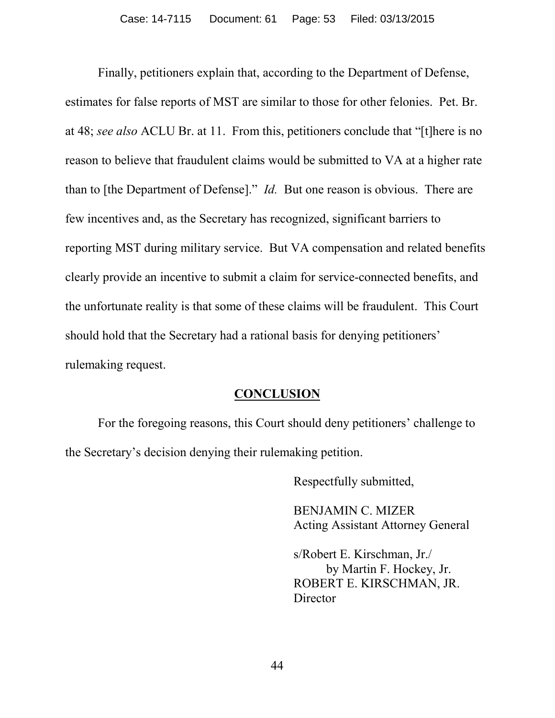Finally, petitioners explain that, according to the Department of Defense, estimates for false reports of MST are similar to those for other felonies. Pet. Br. at 48; *see also* ACLU Br. at 11. From this, petitioners conclude that "[t]here is no reason to believe that fraudulent claims would be submitted to VA at a higher rate than to [the Department of Defense]." *Id.* But one reason is obvious. There are few incentives and, as the Secretary has recognized, significant barriers to reporting MST during military service. But VA compensation and related benefits clearly provide an incentive to submit a claim for service-connected benefits, and the unfortunate reality is that some of these claims will be fraudulent. This Court should hold that the Secretary had a rational basis for denying petitioners' rulemaking request.

#### **CONCLUSION**

For the foregoing reasons, this Court should deny petitioners' challenge to the Secretary's decision denying their rulemaking petition.

Respectfully submitted,

BENJAMIN C. MIZER Acting Assistant Attorney General

s/Robert E. Kirschman, Jr./ by Martin F. Hockey, Jr. ROBERT E. KIRSCHMAN, JR. **Director**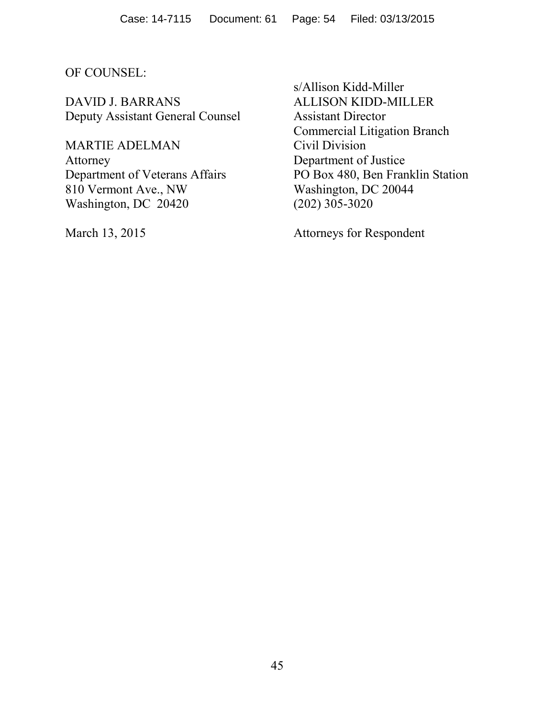#### OF COUNSEL:

DAVID J. BARRANS ALLISON KIDD-MILLER Deputy Assistant General Counsel Assistant Director

MARTIE ADELMAN Civil Division Attorney Department of Justice 810 Vermont Ave., NW Washington, DC 20044 Washington, DC 20420 (202) 305-3020

s/Allison Kidd-Miller Commercial Litigation Branch Department of Veterans Affairs PO Box 480, Ben Franklin Station

March 13, 2015 Attorneys for Respondent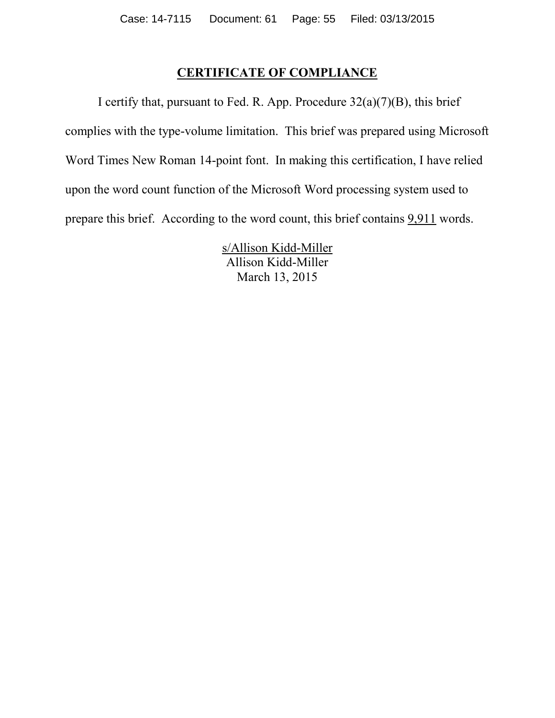## **CERTIFICATE OF COMPLIANCE**

I certify that, pursuant to Fed. R. App. Procedure  $32(a)(7)(B)$ , this brief complies with the type-volume limitation. This brief was prepared using Microsoft Word Times New Roman 14-point font. In making this certification, I have relied upon the word count function of the Microsoft Word processing system used to prepare this brief. According to the word count, this brief contains 9,911 words.

> s/Allison Kidd-Miller Allison Kidd-Miller March 13, 2015